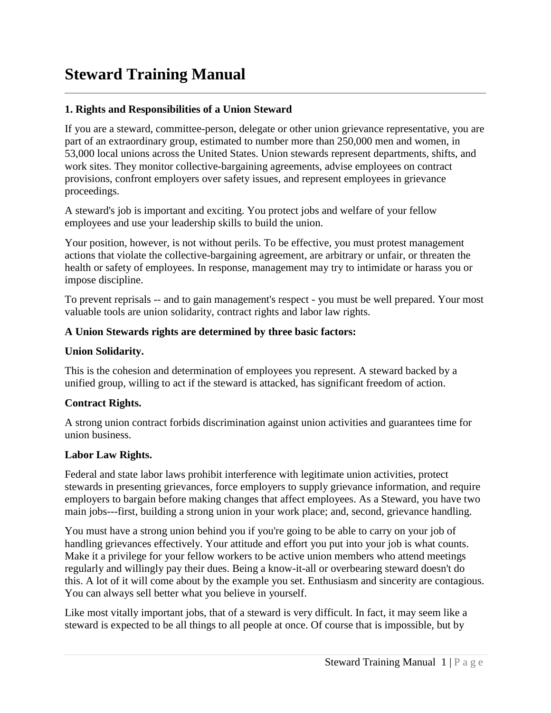# **Steward Training Manual**

# **1. Rights and Responsibilities of a Union Steward**

If you are a steward, committee-person, delegate or other union grievance representative, you are part of an extraordinary group, estimated to number more than 250,000 men and women, in 53,000 local unions across the United States. Union stewards represent departments, shifts, and work sites. They monitor collective-bargaining agreements, advise employees on contract provisions, confront employers over safety issues, and represent employees in grievance proceedings.

A steward's job is important and exciting. You protect jobs and welfare of your fellow employees and use your leadership skills to build the union.

Your position, however, is not without perils. To be effective, you must protest management actions that violate the collective-bargaining agreement, are arbitrary or unfair, or threaten the health or safety of employees. In response, management may try to intimidate or harass you or impose discipline.

To prevent reprisals -- and to gain management's respect - you must be well prepared. Your most valuable tools are union solidarity, contract rights and labor law rights.

## **A Union Stewards rights are determined by three basic factors:**

## **Union Solidarity.**

This is the cohesion and determination of employees you represent. A steward backed by a unified group, willing to act if the steward is attacked, has significant freedom of action.

## **Contract Rights.**

A strong union contract forbids discrimination against union activities and guarantees time for union business.

## **Labor Law Rights.**

Federal and state labor laws prohibit interference with legitimate union activities, protect stewards in presenting grievances, force employers to supply grievance information, and require employers to bargain before making changes that affect employees. As a Steward, you have two main jobs---first, building a strong union in your work place; and, second, grievance handling.

You must have a strong union behind you if you're going to be able to carry on your job of handling grievances effectively. Your attitude and effort you put into your job is what counts. Make it a privilege for your fellow workers to be active union members who attend meetings regularly and willingly pay their dues. Being a know-it-all or overbearing steward doesn't do this. A lot of it will come about by the example you set. Enthusiasm and sincerity are contagious. You can always sell better what you believe in yourself.

Like most vitally important jobs, that of a steward is very difficult. In fact, it may seem like a steward is expected to be all things to all people at once. Of course that is impossible, but by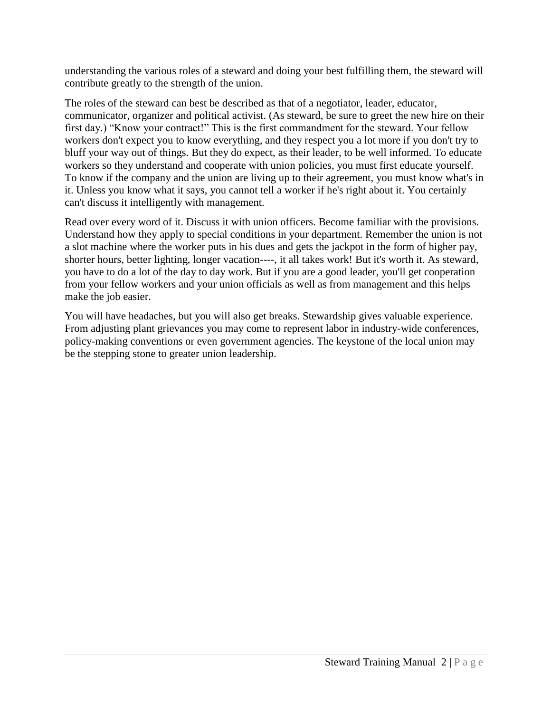understanding the various roles of a steward and doing your best fulfilling them, the steward will contribute greatly to the strength of the union.

The roles of the steward can best be described as that of a negotiator, leader, educator, communicator, organizer and political activist. (As steward, be sure to greet the new hire on their first day.) "Know your contract!" This is the first commandment for the steward. Your fellow workers don't expect you to know everything, and they respect you a lot more if you don't try to bluff your way out of things. But they do expect, as their leader, to be well informed. To educate workers so they understand and cooperate with union policies, you must first educate yourself. To know if the company and the union are living up to their agreement, you must know what's in it. Unless you know what it says, you cannot tell a worker if he's right about it. You certainly can't discuss it intelligently with management.

Read over every word of it. Discuss it with union officers. Become familiar with the provisions. Understand how they apply to special conditions in your department. Remember the union is not a slot machine where the worker puts in his dues and gets the jackpot in the form of higher pay, shorter hours, better lighting, longer vacation----, it all takes work! But it's worth it. As steward, you have to do a lot of the day to day work. But if you are a good leader, you'll get cooperation from your fellow workers and your union officials as well as from management and this helps make the job easier.

You will have headaches, but you will also get breaks. Stewardship gives valuable experience. From adjusting plant grievances you may come to represent labor in industry-wide conferences, policy-making conventions or even government agencies. The keystone of the local union may be the stepping stone to greater union leadership.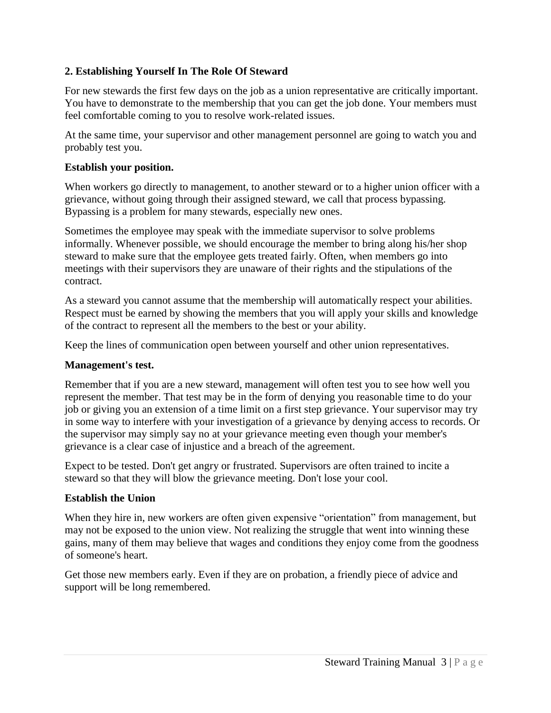# **2. Establishing Yourself In The Role Of Steward**

For new stewards the first few days on the job as a union representative are critically important. You have to demonstrate to the membership that you can get the job done. Your members must feel comfortable coming to you to resolve work-related issues.

At the same time, your supervisor and other management personnel are going to watch you and probably test you.

## **Establish your position.**

When workers go directly to management, to another steward or to a higher union officer with a grievance, without going through their assigned steward, we call that process bypassing. Bypassing is a problem for many stewards, especially new ones.

Sometimes the employee may speak with the immediate supervisor to solve problems informally. Whenever possible, we should encourage the member to bring along his/her shop steward to make sure that the employee gets treated fairly. Often, when members go into meetings with their supervisors they are unaware of their rights and the stipulations of the contract.

As a steward you cannot assume that the membership will automatically respect your abilities. Respect must be earned by showing the members that you will apply your skills and knowledge of the contract to represent all the members to the best or your ability.

Keep the lines of communication open between yourself and other union representatives.

## **Management's test.**

Remember that if you are a new steward, management will often test you to see how well you represent the member. That test may be in the form of denying you reasonable time to do your job or giving you an extension of a time limit on a first step grievance. Your supervisor may try in some way to interfere with your investigation of a grievance by denying access to records. Or the supervisor may simply say no at your grievance meeting even though your member's grievance is a clear case of injustice and a breach of the agreement.

Expect to be tested. Don't get angry or frustrated. Supervisors are often trained to incite a steward so that they will blow the grievance meeting. Don't lose your cool.

# **Establish the Union**

When they hire in, new workers are often given expensive "orientation" from management, but may not be exposed to the union view. Not realizing the struggle that went into winning these gains, many of them may believe that wages and conditions they enjoy come from the goodness of someone's heart.

Get those new members early. Even if they are on probation, a friendly piece of advice and support will be long remembered.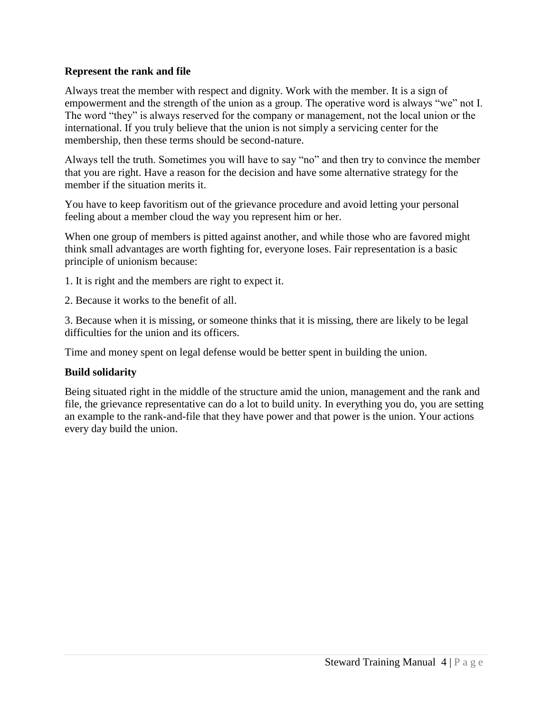## **Represent the rank and file**

Always treat the member with respect and dignity. Work with the member. It is a sign of empowerment and the strength of the union as a group. The operative word is always "we" not I. The word "they" is always reserved for the company or management, not the local union or the international. If you truly believe that the union is not simply a servicing center for the membership, then these terms should be second-nature.

Always tell the truth. Sometimes you will have to say "no" and then try to convince the member that you are right. Have a reason for the decision and have some alternative strategy for the member if the situation merits it.

You have to keep favoritism out of the grievance procedure and avoid letting your personal feeling about a member cloud the way you represent him or her.

When one group of members is pitted against another, and while those who are favored might think small advantages are worth fighting for, everyone loses. Fair representation is a basic principle of unionism because:

- 1. It is right and the members are right to expect it.
- 2. Because it works to the benefit of all.

3. Because when it is missing, or someone thinks that it is missing, there are likely to be legal difficulties for the union and its officers.

Time and money spent on legal defense would be better spent in building the union.

# **Build solidarity**

Being situated right in the middle of the structure amid the union, management and the rank and file, the grievance representative can do a lot to build unity. In everything you do, you are setting an example to the rank-and-file that they have power and that power is the union. Your actions every day build the union.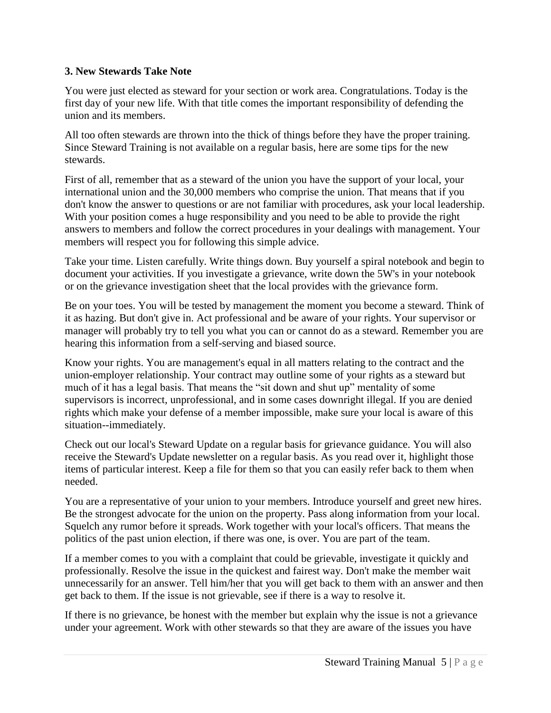# **3. New Stewards Take Note**

You were just elected as steward for your section or work area. Congratulations. Today is the first day of your new life. With that title comes the important responsibility of defending the union and its members.

All too often stewards are thrown into the thick of things before they have the proper training. Since Steward Training is not available on a regular basis, here are some tips for the new stewards.

First of all, remember that as a steward of the union you have the support of your local, your international union and the 30,000 members who comprise the union. That means that if you don't know the answer to questions or are not familiar with procedures, ask your local leadership. With your position comes a huge responsibility and you need to be able to provide the right answers to members and follow the correct procedures in your dealings with management. Your members will respect you for following this simple advice.

Take your time. Listen carefully. Write things down. Buy yourself a spiral notebook and begin to document your activities. If you investigate a grievance, write down the 5W's in your notebook or on the grievance investigation sheet that the local provides with the grievance form.

Be on your toes. You will be tested by management the moment you become a steward. Think of it as hazing. But don't give in. Act professional and be aware of your rights. Your supervisor or manager will probably try to tell you what you can or cannot do as a steward. Remember you are hearing this information from a self-serving and biased source.

Know your rights. You are management's equal in all matters relating to the contract and the union-employer relationship. Your contract may outline some of your rights as a steward but much of it has a legal basis. That means the "sit down and shut up" mentality of some supervisors is incorrect, unprofessional, and in some cases downright illegal. If you are denied rights which make your defense of a member impossible, make sure your local is aware of this situation--immediately.

Check out our local's Steward Update on a regular basis for grievance guidance. You will also receive the Steward's Update newsletter on a regular basis. As you read over it, highlight those items of particular interest. Keep a file for them so that you can easily refer back to them when needed.

You are a representative of your union to your members. Introduce yourself and greet new hires. Be the strongest advocate for the union on the property. Pass along information from your local. Squelch any rumor before it spreads. Work together with your local's officers. That means the politics of the past union election, if there was one, is over. You are part of the team.

If a member comes to you with a complaint that could be grievable, investigate it quickly and professionally. Resolve the issue in the quickest and fairest way. Don't make the member wait unnecessarily for an answer. Tell him/her that you will get back to them with an answer and then get back to them. If the issue is not grievable, see if there is a way to resolve it.

If there is no grievance, be honest with the member but explain why the issue is not a grievance under your agreement. Work with other stewards so that they are aware of the issues you have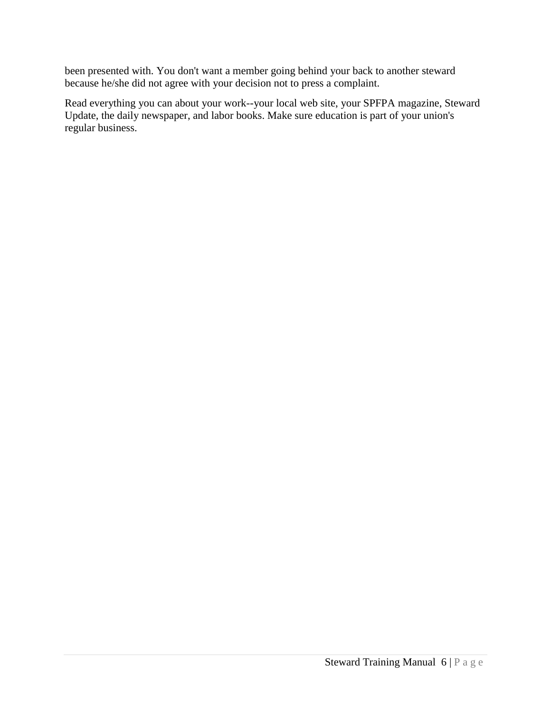been presented with. You don't want a member going behind your back to another steward because he/she did not agree with your decision not to press a complaint.

Read everything you can about your work--your local web site, your SPFPA magazine, Steward Update, the daily newspaper, and labor books. Make sure education is part of your union's regular business.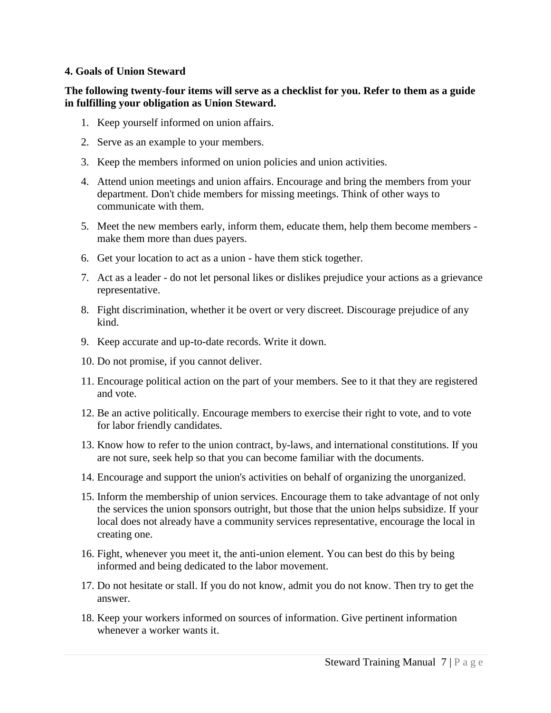#### **4. Goals of Union Steward**

#### **The following twenty-four items will serve as a checklist for you. Refer to them as a guide in fulfilling your obligation as Union Steward.**

- 1. Keep yourself informed on union affairs.
- 2. Serve as an example to your members.
- 3. Keep the members informed on union policies and union activities.
- 4. Attend union meetings and union affairs. Encourage and bring the members from your department. Don't chide members for missing meetings. Think of other ways to communicate with them.
- 5. Meet the new members early, inform them, educate them, help them become members make them more than dues payers.
- 6. Get your location to act as a union have them stick together.
- 7. Act as a leader do not let personal likes or dislikes prejudice your actions as a grievance representative.
- 8. Fight discrimination, whether it be overt or very discreet. Discourage prejudice of any kind.
- 9. Keep accurate and up-to-date records. Write it down.
- 10. Do not promise, if you cannot deliver.
- 11. Encourage political action on the part of your members. See to it that they are registered and vote.
- 12. Be an active politically. Encourage members to exercise their right to vote, and to vote for labor friendly candidates.
- 13. Know how to refer to the union contract, by-laws, and international constitutions. If you are not sure, seek help so that you can become familiar with the documents.
- 14. Encourage and support the union's activities on behalf of organizing the unorganized.
- 15. Inform the membership of union services. Encourage them to take advantage of not only the services the union sponsors outright, but those that the union helps subsidize. If your local does not already have a community services representative, encourage the local in creating one.
- 16. Fight, whenever you meet it, the anti-union element. You can best do this by being informed and being dedicated to the labor movement.
- 17. Do not hesitate or stall. If you do not know, admit you do not know. Then try to get the answer.
- 18. Keep your workers informed on sources of information. Give pertinent information whenever a worker wants it.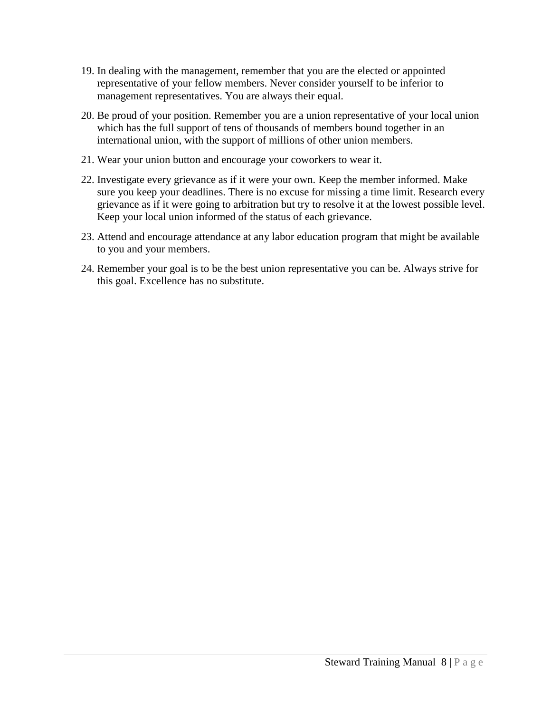- 19. In dealing with the management, remember that you are the elected or appointed representative of your fellow members. Never consider yourself to be inferior to management representatives. You are always their equal.
- 20. Be proud of your position. Remember you are a union representative of your local union which has the full support of tens of thousands of members bound together in an international union, with the support of millions of other union members.
- 21. Wear your union button and encourage your coworkers to wear it.
- 22. Investigate every grievance as if it were your own. Keep the member informed. Make sure you keep your deadlines. There is no excuse for missing a time limit. Research every grievance as if it were going to arbitration but try to resolve it at the lowest possible level. Keep your local union informed of the status of each grievance.
- 23. Attend and encourage attendance at any labor education program that might be available to you and your members.
- 24. Remember your goal is to be the best union representative you can be. Always strive for this goal. Excellence has no substitute.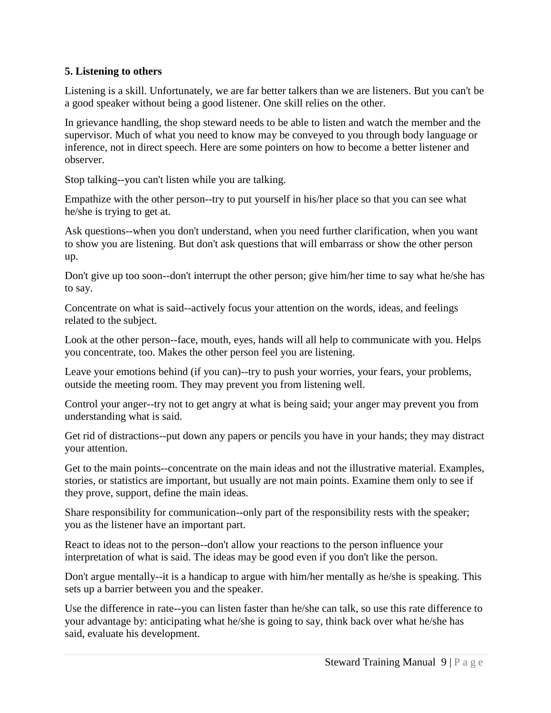# **5. Listening to others**

Listening is a skill. Unfortunately, we are far better talkers than we are listeners. But you can't be a good speaker without being a good listener. One skill relies on the other.

In grievance handling, the shop steward needs to be able to listen and watch the member and the supervisor. Much of what you need to know may be conveyed to you through body language or inference, not in direct speech. Here are some pointers on how to become a better listener and observer.

Stop talking--you can't listen while you are talking.

Empathize with the other person--try to put yourself in his/her place so that you can see what he/she is trying to get at.

Ask questions--when you don't understand, when you need further clarification, when you want to show you are listening. But don't ask questions that will embarrass or show the other person up.

Don't give up too soon--don't interrupt the other person; give him/her time to say what he/she has to say.

Concentrate on what is said--actively focus your attention on the words, ideas, and feelings related to the subject.

Look at the other person--face, mouth, eyes, hands will all help to communicate with you. Helps you concentrate, too. Makes the other person feel you are listening.

Leave your emotions behind (if you can)--try to push your worries, your fears, your problems, outside the meeting room. They may prevent you from listening well.

Control your anger--try not to get angry at what is being said; your anger may prevent you from understanding what is said.

Get rid of distractions--put down any papers or pencils you have in your hands; they may distract your attention.

Get to the main points--concentrate on the main ideas and not the illustrative material. Examples, stories, or statistics are important, but usually are not main points. Examine them only to see if they prove, support, define the main ideas.

Share responsibility for communication--only part of the responsibility rests with the speaker; you as the listener have an important part.

React to ideas not to the person--don't allow your reactions to the person influence your interpretation of what is said. The ideas may be good even if you don't like the person.

Don't argue mentally--it is a handicap to argue with him/her mentally as he/she is speaking. This sets up a barrier between you and the speaker.

Use the difference in rate--you can listen faster than he/she can talk, so use this rate difference to your advantage by: anticipating what he/she is going to say, think back over what he/she has said, evaluate his development.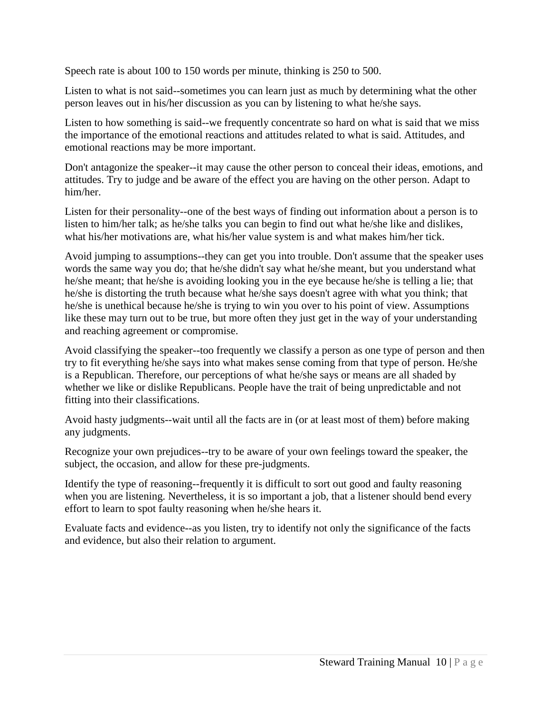Speech rate is about 100 to 150 words per minute, thinking is 250 to 500.

Listen to what is not said--sometimes you can learn just as much by determining what the other person leaves out in his/her discussion as you can by listening to what he/she says.

Listen to how something is said--we frequently concentrate so hard on what is said that we miss the importance of the emotional reactions and attitudes related to what is said. Attitudes, and emotional reactions may be more important.

Don't antagonize the speaker--it may cause the other person to conceal their ideas, emotions, and attitudes. Try to judge and be aware of the effect you are having on the other person. Adapt to him/her.

Listen for their personality--one of the best ways of finding out information about a person is to listen to him/her talk; as he/she talks you can begin to find out what he/she like and dislikes, what his/her motivations are, what his/her value system is and what makes him/her tick.

Avoid jumping to assumptions--they can get you into trouble. Don't assume that the speaker uses words the same way you do; that he/she didn't say what he/she meant, but you understand what he/she meant; that he/she is avoiding looking you in the eye because he/she is telling a lie; that he/she is distorting the truth because what he/she says doesn't agree with what you think; that he/she is unethical because he/she is trying to win you over to his point of view. Assumptions like these may turn out to be true, but more often they just get in the way of your understanding and reaching agreement or compromise.

Avoid classifying the speaker--too frequently we classify a person as one type of person and then try to fit everything he/she says into what makes sense coming from that type of person. He/she is a Republican. Therefore, our perceptions of what he/she says or means are all shaded by whether we like or dislike Republicans. People have the trait of being unpredictable and not fitting into their classifications.

Avoid hasty judgments--wait until all the facts are in (or at least most of them) before making any judgments.

Recognize your own prejudices--try to be aware of your own feelings toward the speaker, the subject, the occasion, and allow for these pre-judgments.

Identify the type of reasoning--frequently it is difficult to sort out good and faulty reasoning when you are listening. Nevertheless, it is so important a job, that a listener should bend every effort to learn to spot faulty reasoning when he/she hears it.

Evaluate facts and evidence--as you listen, try to identify not only the significance of the facts and evidence, but also their relation to argument.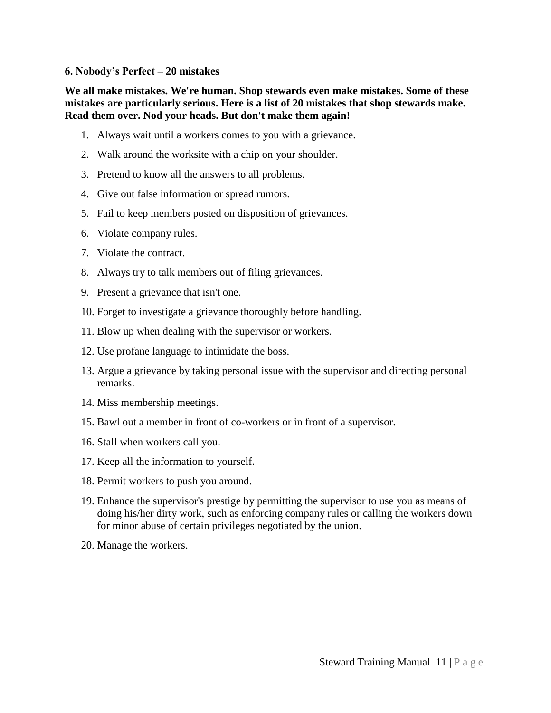#### **6. Nobody's Perfect – 20 mistakes**

**We all make mistakes. We're human. Shop stewards even make mistakes. Some of these mistakes are particularly serious. Here is a list of 20 mistakes that shop stewards make. Read them over. Nod your heads. But don't make them again!** 

- 1. Always wait until a workers comes to you with a grievance.
- 2. Walk around the worksite with a chip on your shoulder.
- 3. Pretend to know all the answers to all problems.
- 4. Give out false information or spread rumors.
- 5. Fail to keep members posted on disposition of grievances.
- 6. Violate company rules.
- 7. Violate the contract.
- 8. Always try to talk members out of filing grievances.
- 9. Present a grievance that isn't one.
- 10. Forget to investigate a grievance thoroughly before handling.
- 11. Blow up when dealing with the supervisor or workers.
- 12. Use profane language to intimidate the boss.
- 13. Argue a grievance by taking personal issue with the supervisor and directing personal remarks.
- 14. Miss membership meetings.
- 15. Bawl out a member in front of co-workers or in front of a supervisor.
- 16. Stall when workers call you.
- 17. Keep all the information to yourself.
- 18. Permit workers to push you around.
- 19. Enhance the supervisor's prestige by permitting the supervisor to use you as means of doing his/her dirty work, such as enforcing company rules or calling the workers down for minor abuse of certain privileges negotiated by the union.
- 20. Manage the workers.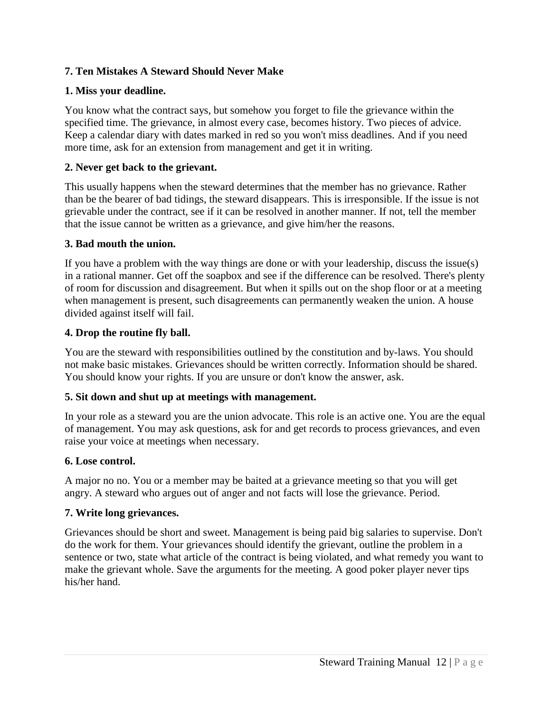# **7. Ten Mistakes A Steward Should Never Make**

# **1. Miss your deadline.**

You know what the contract says, but somehow you forget to file the grievance within the specified time. The grievance, in almost every case, becomes history. Two pieces of advice. Keep a calendar diary with dates marked in red so you won't miss deadlines. And if you need more time, ask for an extension from management and get it in writing.

## **2. Never get back to the grievant.**

This usually happens when the steward determines that the member has no grievance. Rather than be the bearer of bad tidings, the steward disappears. This is irresponsible. If the issue is not grievable under the contract, see if it can be resolved in another manner. If not, tell the member that the issue cannot be written as a grievance, and give him/her the reasons.

## **3. Bad mouth the union.**

If you have a problem with the way things are done or with your leadership, discuss the issue(s) in a rational manner. Get off the soapbox and see if the difference can be resolved. There's plenty of room for discussion and disagreement. But when it spills out on the shop floor or at a meeting when management is present, such disagreements can permanently weaken the union. A house divided against itself will fail.

# **4. Drop the routine fly ball.**

You are the steward with responsibilities outlined by the constitution and by-laws. You should not make basic mistakes. Grievances should be written correctly. Information should be shared. You should know your rights. If you are unsure or don't know the answer, ask.

## **5. Sit down and shut up at meetings with management.**

In your role as a steward you are the union advocate. This role is an active one. You are the equal of management. You may ask questions, ask for and get records to process grievances, and even raise your voice at meetings when necessary.

## **6. Lose control.**

A major no no. You or a member may be baited at a grievance meeting so that you will get angry. A steward who argues out of anger and not facts will lose the grievance. Period.

## **7. Write long grievances.**

Grievances should be short and sweet. Management is being paid big salaries to supervise. Don't do the work for them. Your grievances should identify the grievant, outline the problem in a sentence or two, state what article of the contract is being violated, and what remedy you want to make the grievant whole. Save the arguments for the meeting. A good poker player never tips his/her hand.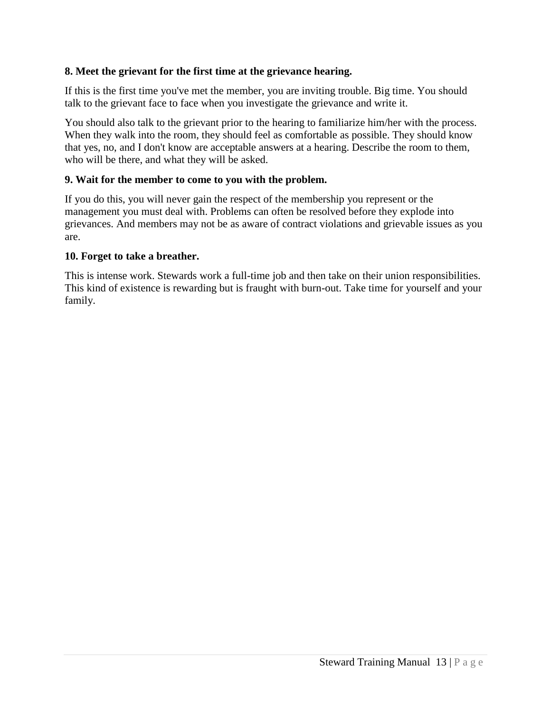# **8. Meet the grievant for the first time at the grievance hearing.**

If this is the first time you've met the member, you are inviting trouble. Big time. You should talk to the grievant face to face when you investigate the grievance and write it.

You should also talk to the grievant prior to the hearing to familiarize him/her with the process. When they walk into the room, they should feel as comfortable as possible. They should know that yes, no, and I don't know are acceptable answers at a hearing. Describe the room to them, who will be there, and what they will be asked.

## **9. Wait for the member to come to you with the problem.**

If you do this, you will never gain the respect of the membership you represent or the management you must deal with. Problems can often be resolved before they explode into grievances. And members may not be as aware of contract violations and grievable issues as you are.

## **10. Forget to take a breather.**

This is intense work. Stewards work a full-time job and then take on their union responsibilities. This kind of existence is rewarding but is fraught with burn-out. Take time for yourself and your family.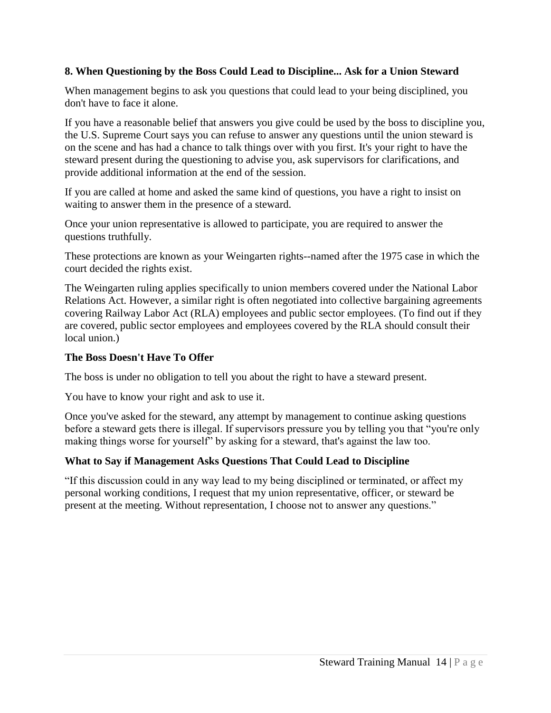# **8. When Questioning by the Boss Could Lead to Discipline... Ask for a Union Steward**

When management begins to ask you questions that could lead to your being disciplined, you don't have to face it alone.

If you have a reasonable belief that answers you give could be used by the boss to discipline you, the U.S. Supreme Court says you can refuse to answer any questions until the union steward is on the scene and has had a chance to talk things over with you first. It's your right to have the steward present during the questioning to advise you, ask supervisors for clarifications, and provide additional information at the end of the session.

If you are called at home and asked the same kind of questions, you have a right to insist on waiting to answer them in the presence of a steward.

Once your union representative is allowed to participate, you are required to answer the questions truthfully.

These protections are known as your Weingarten rights--named after the 1975 case in which the court decided the rights exist.

The Weingarten ruling applies specifically to union members covered under the National Labor Relations Act. However, a similar right is often negotiated into collective bargaining agreements covering Railway Labor Act (RLA) employees and public sector employees. (To find out if they are covered, public sector employees and employees covered by the RLA should consult their local union.)

#### **The Boss Doesn't Have To Offer**

The boss is under no obligation to tell you about the right to have a steward present.

You have to know your right and ask to use it.

Once you've asked for the steward, any attempt by management to continue asking questions before a steward gets there is illegal. If supervisors pressure you by telling you that "you're only making things worse for yourself" by asking for a steward, that's against the law too.

## **What to Say if Management Asks Questions That Could Lead to Discipline**

"If this discussion could in any way lead to my being disciplined or terminated, or affect my personal working conditions, I request that my union representative, officer, or steward be present at the meeting. Without representation, I choose not to answer any questions."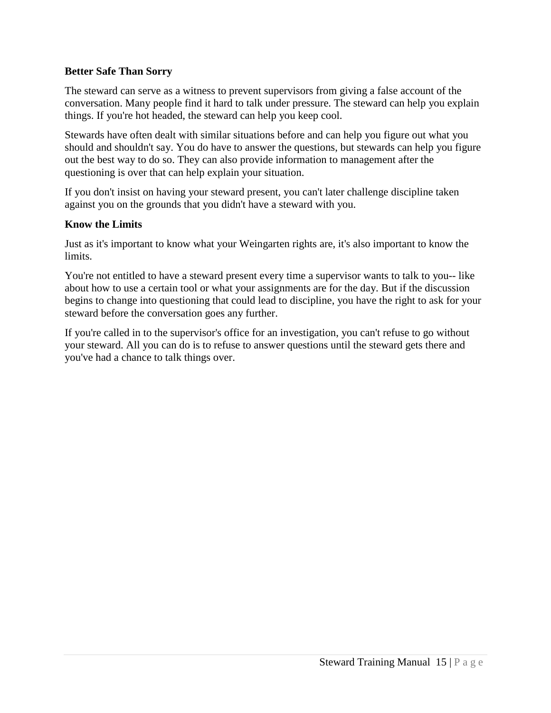## **Better Safe Than Sorry**

The steward can serve as a witness to prevent supervisors from giving a false account of the conversation. Many people find it hard to talk under pressure. The steward can help you explain things. If you're hot headed, the steward can help you keep cool.

Stewards have often dealt with similar situations before and can help you figure out what you should and shouldn't say. You do have to answer the questions, but stewards can help you figure out the best way to do so. They can also provide information to management after the questioning is over that can help explain your situation.

If you don't insist on having your steward present, you can't later challenge discipline taken against you on the grounds that you didn't have a steward with you.

#### **Know the Limits**

Just as it's important to know what your Weingarten rights are, it's also important to know the limits.

You're not entitled to have a steward present every time a supervisor wants to talk to you-- like about how to use a certain tool or what your assignments are for the day. But if the discussion begins to change into questioning that could lead to discipline, you have the right to ask for your steward before the conversation goes any further.

If you're called in to the supervisor's office for an investigation, you can't refuse to go without your steward. All you can do is to refuse to answer questions until the steward gets there and you've had a chance to talk things over.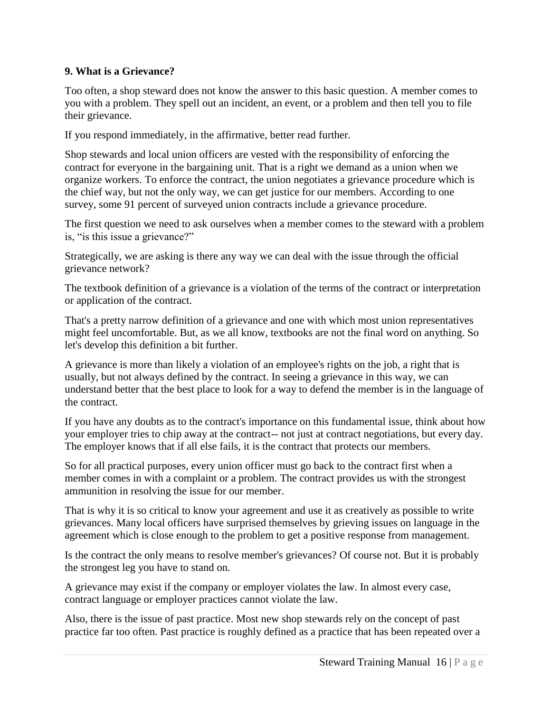# **9. What is a Grievance?**

Too often, a shop steward does not know the answer to this basic question. A member comes to you with a problem. They spell out an incident, an event, or a problem and then tell you to file their grievance.

If you respond immediately, in the affirmative, better read further.

Shop stewards and local union officers are vested with the responsibility of enforcing the contract for everyone in the bargaining unit. That is a right we demand as a union when we organize workers. To enforce the contract, the union negotiates a grievance procedure which is the chief way, but not the only way, we can get justice for our members. According to one survey, some 91 percent of surveyed union contracts include a grievance procedure.

The first question we need to ask ourselves when a member comes to the steward with a problem is, "is this issue a grievance?"

Strategically, we are asking is there any way we can deal with the issue through the official grievance network?

The textbook definition of a grievance is a violation of the terms of the contract or interpretation or application of the contract.

That's a pretty narrow definition of a grievance and one with which most union representatives might feel uncomfortable. But, as we all know, textbooks are not the final word on anything. So let's develop this definition a bit further.

A grievance is more than likely a violation of an employee's rights on the job, a right that is usually, but not always defined by the contract. In seeing a grievance in this way, we can understand better that the best place to look for a way to defend the member is in the language of the contract.

If you have any doubts as to the contract's importance on this fundamental issue, think about how your employer tries to chip away at the contract-- not just at contract negotiations, but every day. The employer knows that if all else fails, it is the contract that protects our members.

So for all practical purposes, every union officer must go back to the contract first when a member comes in with a complaint or a problem. The contract provides us with the strongest ammunition in resolving the issue for our member.

That is why it is so critical to know your agreement and use it as creatively as possible to write grievances. Many local officers have surprised themselves by grieving issues on language in the agreement which is close enough to the problem to get a positive response from management.

Is the contract the only means to resolve member's grievances? Of course not. But it is probably the strongest leg you have to stand on.

A grievance may exist if the company or employer violates the law. In almost every case, contract language or employer practices cannot violate the law.

Also, there is the issue of past practice. Most new shop stewards rely on the concept of past practice far too often. Past practice is roughly defined as a practice that has been repeated over a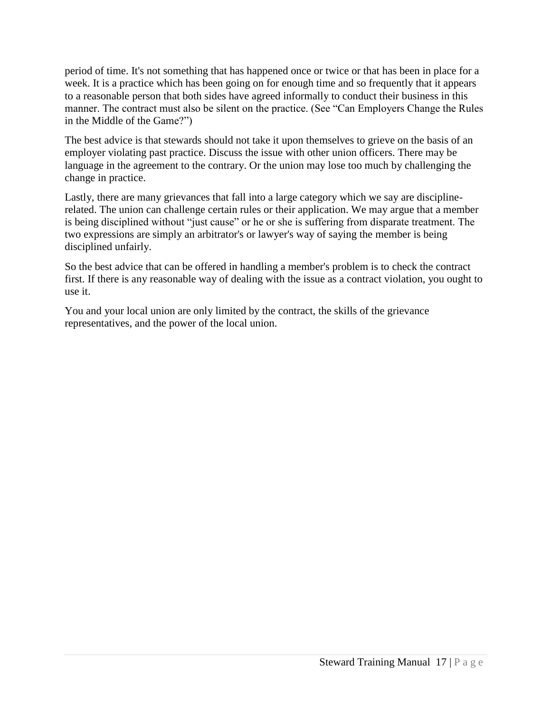period of time. It's not something that has happened once or twice or that has been in place for a week. It is a practice which has been going on for enough time and so frequently that it appears to a reasonable person that both sides have agreed informally to conduct their business in this manner. The contract must also be silent on the practice. (See "Can Employers Change the Rules in the Middle of the Game?")

The best advice is that stewards should not take it upon themselves to grieve on the basis of an employer violating past practice. Discuss the issue with other union officers. There may be language in the agreement to the contrary. Or the union may lose too much by challenging the change in practice.

Lastly, there are many grievances that fall into a large category which we say are disciplinerelated. The union can challenge certain rules or their application. We may argue that a member is being disciplined without "just cause" or he or she is suffering from disparate treatment. The two expressions are simply an arbitrator's or lawyer's way of saying the member is being disciplined unfairly.

So the best advice that can be offered in handling a member's problem is to check the contract first. If there is any reasonable way of dealing with the issue as a contract violation, you ought to use it.

You and your local union are only limited by the contract, the skills of the grievance representatives, and the power of the local union.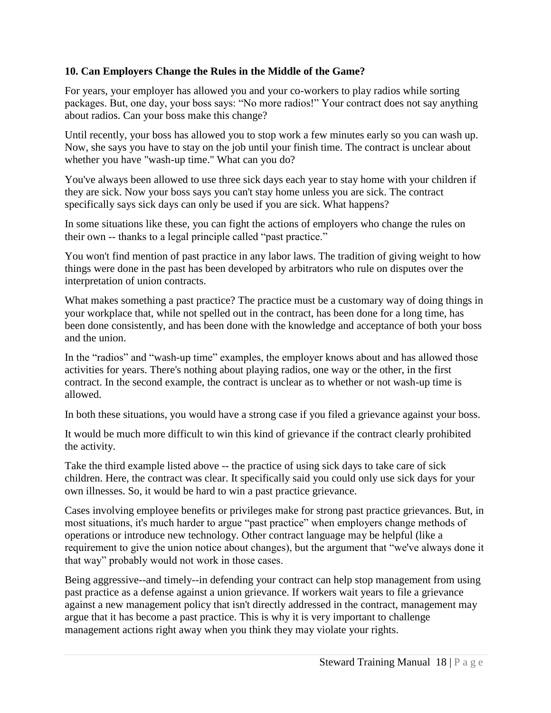# **10. Can Employers Change the Rules in the Middle of the Game?**

For years, your employer has allowed you and your co-workers to play radios while sorting packages. But, one day, your boss says: "No more radios!" Your contract does not say anything about radios. Can your boss make this change?

Until recently, your boss has allowed you to stop work a few minutes early so you can wash up. Now, she says you have to stay on the job until your finish time. The contract is unclear about whether you have "wash-up time." What can you do?

You've always been allowed to use three sick days each year to stay home with your children if they are sick. Now your boss says you can't stay home unless you are sick. The contract specifically says sick days can only be used if you are sick. What happens?

In some situations like these, you can fight the actions of employers who change the rules on their own -- thanks to a legal principle called "past practice."

You won't find mention of past practice in any labor laws. The tradition of giving weight to how things were done in the past has been developed by arbitrators who rule on disputes over the interpretation of union contracts.

What makes something a past practice? The practice must be a customary way of doing things in your workplace that, while not spelled out in the contract, has been done for a long time, has been done consistently, and has been done with the knowledge and acceptance of both your boss and the union.

In the "radios" and "wash-up time" examples, the employer knows about and has allowed those activities for years. There's nothing about playing radios, one way or the other, in the first contract. In the second example, the contract is unclear as to whether or not wash-up time is allowed.

In both these situations, you would have a strong case if you filed a grievance against your boss.

It would be much more difficult to win this kind of grievance if the contract clearly prohibited the activity.

Take the third example listed above -- the practice of using sick days to take care of sick children. Here, the contract was clear. It specifically said you could only use sick days for your own illnesses. So, it would be hard to win a past practice grievance.

Cases involving employee benefits or privileges make for strong past practice grievances. But, in most situations, it's much harder to argue "past practice" when employers change methods of operations or introduce new technology. Other contract language may be helpful (like a requirement to give the union notice about changes), but the argument that "we've always done it that way" probably would not work in those cases.

Being aggressive--and timely--in defending your contract can help stop management from using past practice as a defense against a union grievance. If workers wait years to file a grievance against a new management policy that isn't directly addressed in the contract, management may argue that it has become a past practice. This is why it is very important to challenge management actions right away when you think they may violate your rights.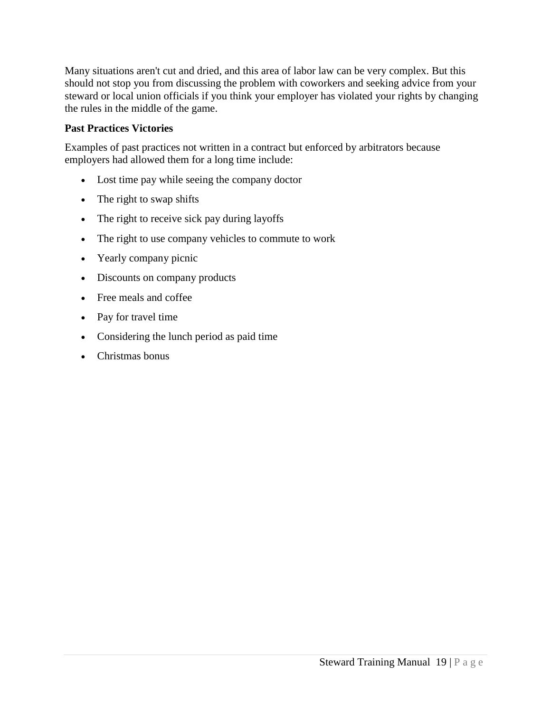Many situations aren't cut and dried, and this area of labor law can be very complex. But this should not stop you from discussing the problem with coworkers and seeking advice from your steward or local union officials if you think your employer has violated your rights by changing the rules in the middle of the game.

# **Past Practices Victories**

Examples of past practices not written in a contract but enforced by arbitrators because employers had allowed them for a long time include:

- Lost time pay while seeing the company doctor
- The right to swap shifts
- The right to receive sick pay during layoffs
- The right to use company vehicles to commute to work
- Yearly company picnic
- Discounts on company products
- Free meals and coffee
- Pay for travel time
- Considering the lunch period as paid time
- Christmas bonus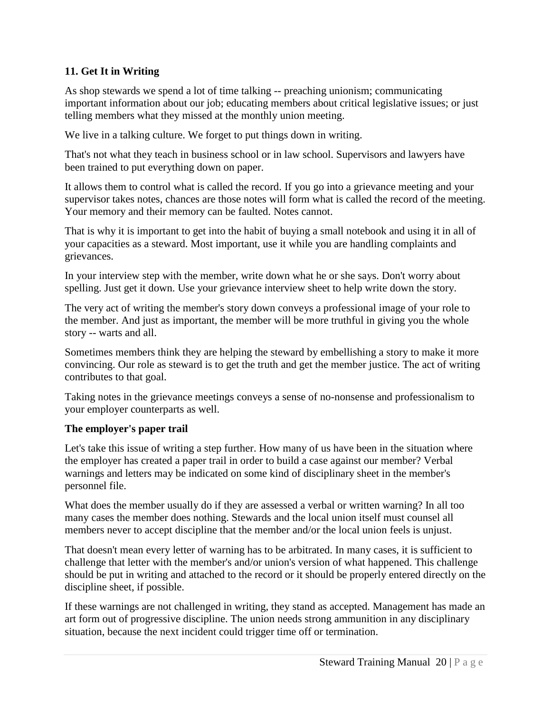# **11. Get It in Writing**

As shop stewards we spend a lot of time talking -- preaching unionism; communicating important information about our job; educating members about critical legislative issues; or just telling members what they missed at the monthly union meeting.

We live in a talking culture. We forget to put things down in writing.

That's not what they teach in business school or in law school. Supervisors and lawyers have been trained to put everything down on paper.

It allows them to control what is called the record. If you go into a grievance meeting and your supervisor takes notes, chances are those notes will form what is called the record of the meeting. Your memory and their memory can be faulted. Notes cannot.

That is why it is important to get into the habit of buying a small notebook and using it in all of your capacities as a steward. Most important, use it while you are handling complaints and grievances.

In your interview step with the member, write down what he or she says. Don't worry about spelling. Just get it down. Use your grievance interview sheet to help write down the story.

The very act of writing the member's story down conveys a professional image of your role to the member. And just as important, the member will be more truthful in giving you the whole story -- warts and all.

Sometimes members think they are helping the steward by embellishing a story to make it more convincing. Our role as steward is to get the truth and get the member justice. The act of writing contributes to that goal.

Taking notes in the grievance meetings conveys a sense of no-nonsense and professionalism to your employer counterparts as well.

## **The employer's paper trail**

Let's take this issue of writing a step further. How many of us have been in the situation where the employer has created a paper trail in order to build a case against our member? Verbal warnings and letters may be indicated on some kind of disciplinary sheet in the member's personnel file.

What does the member usually do if they are assessed a verbal or written warning? In all too many cases the member does nothing. Stewards and the local union itself must counsel all members never to accept discipline that the member and/or the local union feels is unjust.

That doesn't mean every letter of warning has to be arbitrated. In many cases, it is sufficient to challenge that letter with the member's and/or union's version of what happened. This challenge should be put in writing and attached to the record or it should be properly entered directly on the discipline sheet, if possible.

If these warnings are not challenged in writing, they stand as accepted. Management has made an art form out of progressive discipline. The union needs strong ammunition in any disciplinary situation, because the next incident could trigger time off or termination.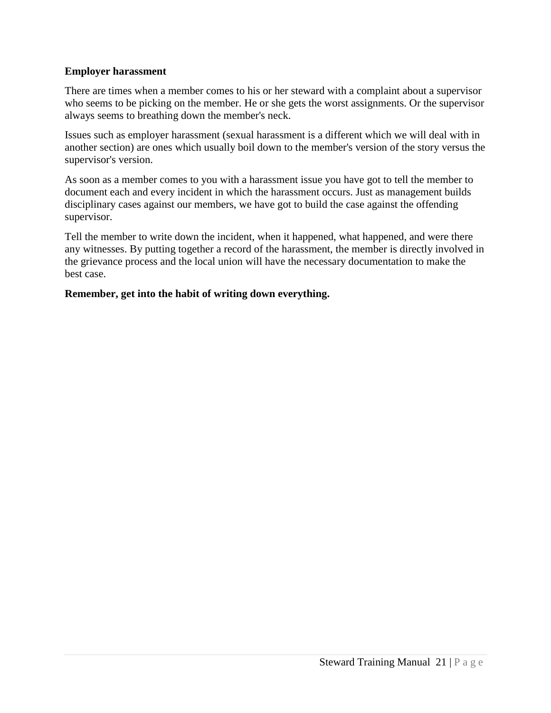#### **Employer harassment**

There are times when a member comes to his or her steward with a complaint about a supervisor who seems to be picking on the member. He or she gets the worst assignments. Or the supervisor always seems to breathing down the member's neck.

Issues such as employer harassment (sexual harassment is a different which we will deal with in another section) are ones which usually boil down to the member's version of the story versus the supervisor's version.

As soon as a member comes to you with a harassment issue you have got to tell the member to document each and every incident in which the harassment occurs. Just as management builds disciplinary cases against our members, we have got to build the case against the offending supervisor.

Tell the member to write down the incident, when it happened, what happened, and were there any witnesses. By putting together a record of the harassment, the member is directly involved in the grievance process and the local union will have the necessary documentation to make the best case.

#### **Remember, get into the habit of writing down everything.**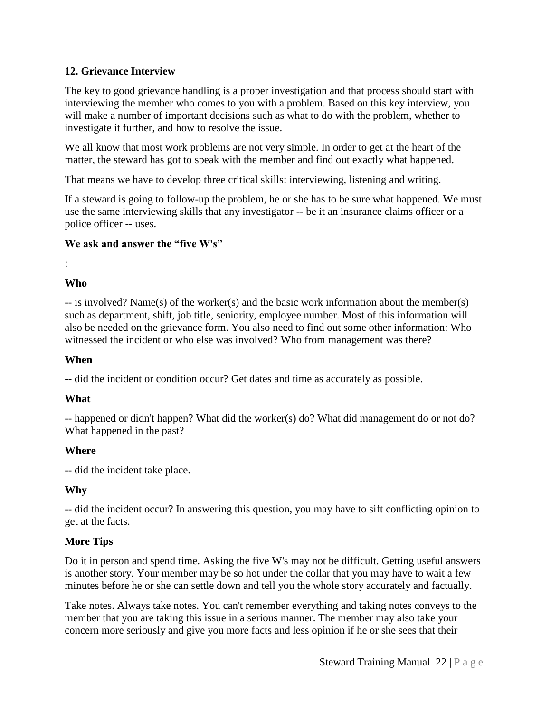# **12. Grievance Interview**

The key to good grievance handling is a proper investigation and that process should start with interviewing the member who comes to you with a problem. Based on this key interview, you will make a number of important decisions such as what to do with the problem, whether to investigate it further, and how to resolve the issue.

We all know that most work problems are not very simple. In order to get at the heart of the matter, the steward has got to speak with the member and find out exactly what happened.

That means we have to develop three critical skills: interviewing, listening and writing.

If a steward is going to follow-up the problem, he or she has to be sure what happened. We must use the same interviewing skills that any investigator -- be it an insurance claims officer or a police officer -- uses.

# **We ask and answer the "five W's"**

# : **Who**

-- is involved? Name(s) of the worker(s) and the basic work information about the member(s) such as department, shift, job title, seniority, employee number. Most of this information will also be needed on the grievance form. You also need to find out some other information: Who witnessed the incident or who else was involved? Who from management was there?

## **When**

-- did the incident or condition occur? Get dates and time as accurately as possible.

# **What**

-- happened or didn't happen? What did the worker(s) do? What did management do or not do? What happened in the past?

# **Where**

-- did the incident take place.

# **Why**

-- did the incident occur? In answering this question, you may have to sift conflicting opinion to get at the facts.

# **More Tips**

Do it in person and spend time. Asking the five W's may not be difficult. Getting useful answers is another story. Your member may be so hot under the collar that you may have to wait a few minutes before he or she can settle down and tell you the whole story accurately and factually.

Take notes. Always take notes. You can't remember everything and taking notes conveys to the member that you are taking this issue in a serious manner. The member may also take your concern more seriously and give you more facts and less opinion if he or she sees that their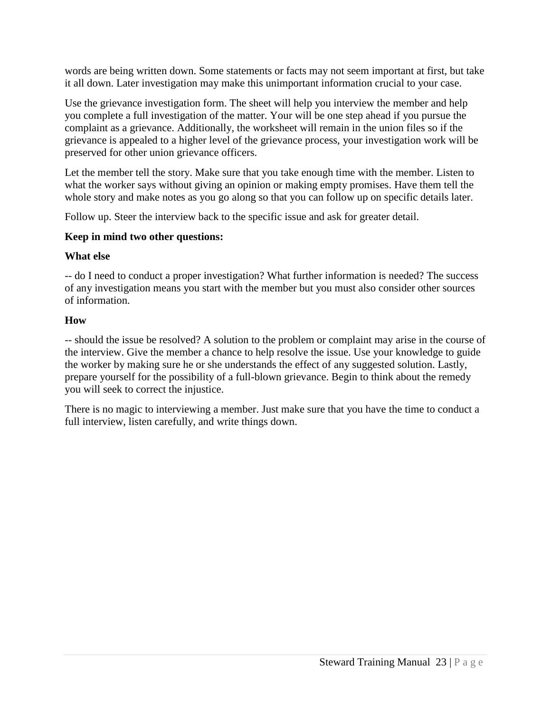words are being written down. Some statements or facts may not seem important at first, but take it all down. Later investigation may make this unimportant information crucial to your case.

Use the grievance investigation form. The sheet will help you interview the member and help you complete a full investigation of the matter. Your will be one step ahead if you pursue the complaint as a grievance. Additionally, the worksheet will remain in the union files so if the grievance is appealed to a higher level of the grievance process, your investigation work will be preserved for other union grievance officers.

Let the member tell the story. Make sure that you take enough time with the member. Listen to what the worker says without giving an opinion or making empty promises. Have them tell the whole story and make notes as you go along so that you can follow up on specific details later.

Follow up. Steer the interview back to the specific issue and ask for greater detail.

# **Keep in mind two other questions:**

# **What else**

-- do I need to conduct a proper investigation? What further information is needed? The success of any investigation means you start with the member but you must also consider other sources of information.

# **How**

-- should the issue be resolved? A solution to the problem or complaint may arise in the course of the interview. Give the member a chance to help resolve the issue. Use your knowledge to guide the worker by making sure he or she understands the effect of any suggested solution. Lastly, prepare yourself for the possibility of a full-blown grievance. Begin to think about the remedy you will seek to correct the injustice.

There is no magic to interviewing a member. Just make sure that you have the time to conduct a full interview, listen carefully, and write things down.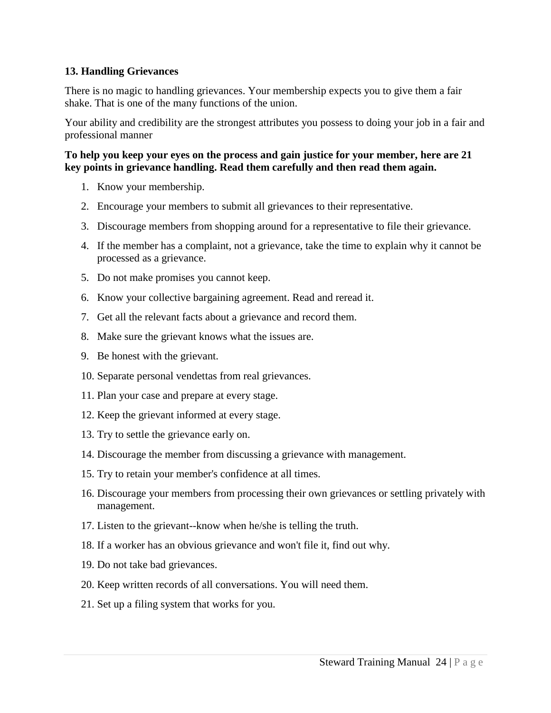## **13. Handling Grievances**

There is no magic to handling grievances. Your membership expects you to give them a fair shake. That is one of the many functions of the union.

Your ability and credibility are the strongest attributes you possess to doing your job in a fair and professional manner

#### **To help you keep your eyes on the process and gain justice for your member, here are 21 key points in grievance handling. Read them carefully and then read them again.**

- 1. Know your membership.
- 2. Encourage your members to submit all grievances to their representative.
- 3. Discourage members from shopping around for a representative to file their grievance.
- 4. If the member has a complaint, not a grievance, take the time to explain why it cannot be processed as a grievance.
- 5. Do not make promises you cannot keep.
- 6. Know your collective bargaining agreement. Read and reread it.
- 7. Get all the relevant facts about a grievance and record them.
- 8. Make sure the grievant knows what the issues are.
- 9. Be honest with the grievant.
- 10. Separate personal vendettas from real grievances.
- 11. Plan your case and prepare at every stage.
- 12. Keep the grievant informed at every stage.
- 13. Try to settle the grievance early on.
- 14. Discourage the member from discussing a grievance with management.
- 15. Try to retain your member's confidence at all times.
- 16. Discourage your members from processing their own grievances or settling privately with management.
- 17. Listen to the grievant--know when he/she is telling the truth.
- 18. If a worker has an obvious grievance and won't file it, find out why.
- 19. Do not take bad grievances.
- 20. Keep written records of all conversations. You will need them.
- 21. Set up a filing system that works for you.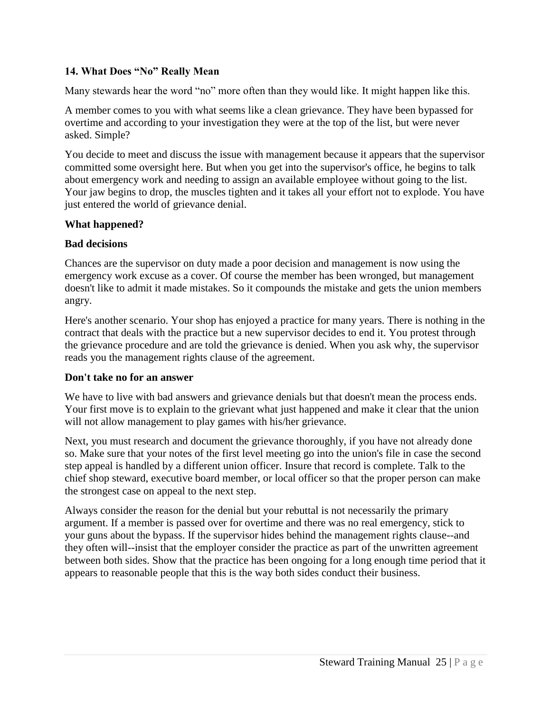## **14. What Does "No" Really Mean**

Many stewards hear the word "no" more often than they would like. It might happen like this.

A member comes to you with what seems like a clean grievance. They have been bypassed for overtime and according to your investigation they were at the top of the list, but were never asked. Simple?

You decide to meet and discuss the issue with management because it appears that the supervisor committed some oversight here. But when you get into the supervisor's office, he begins to talk about emergency work and needing to assign an available employee without going to the list. Your jaw begins to drop, the muscles tighten and it takes all your effort not to explode. You have just entered the world of grievance denial.

## **What happened?**

## **Bad decisions**

Chances are the supervisor on duty made a poor decision and management is now using the emergency work excuse as a cover. Of course the member has been wronged, but management doesn't like to admit it made mistakes. So it compounds the mistake and gets the union members angry.

Here's another scenario. Your shop has enjoyed a practice for many years. There is nothing in the contract that deals with the practice but a new supervisor decides to end it. You protest through the grievance procedure and are told the grievance is denied. When you ask why, the supervisor reads you the management rights clause of the agreement.

## **Don't take no for an answer**

We have to live with bad answers and grievance denials but that doesn't mean the process ends. Your first move is to explain to the grievant what just happened and make it clear that the union will not allow management to play games with his/her grievance.

Next, you must research and document the grievance thoroughly, if you have not already done so. Make sure that your notes of the first level meeting go into the union's file in case the second step appeal is handled by a different union officer. Insure that record is complete. Talk to the chief shop steward, executive board member, or local officer so that the proper person can make the strongest case on appeal to the next step.

Always consider the reason for the denial but your rebuttal is not necessarily the primary argument. If a member is passed over for overtime and there was no real emergency, stick to your guns about the bypass. If the supervisor hides behind the management rights clause--and they often will--insist that the employer consider the practice as part of the unwritten agreement between both sides. Show that the practice has been ongoing for a long enough time period that it appears to reasonable people that this is the way both sides conduct their business.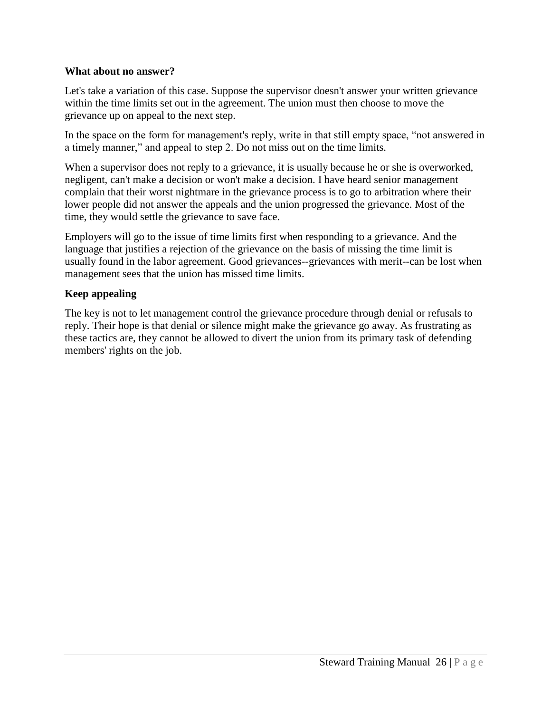## **What about no answer?**

Let's take a variation of this case. Suppose the supervisor doesn't answer your written grievance within the time limits set out in the agreement. The union must then choose to move the grievance up on appeal to the next step.

In the space on the form for management's reply, write in that still empty space, "not answered in a timely manner," and appeal to step 2. Do not miss out on the time limits.

When a supervisor does not reply to a grievance, it is usually because he or she is overworked, negligent, can't make a decision or won't make a decision. I have heard senior management complain that their worst nightmare in the grievance process is to go to arbitration where their lower people did not answer the appeals and the union progressed the grievance. Most of the time, they would settle the grievance to save face.

Employers will go to the issue of time limits first when responding to a grievance. And the language that justifies a rejection of the grievance on the basis of missing the time limit is usually found in the labor agreement. Good grievances--grievances with merit--can be lost when management sees that the union has missed time limits.

## **Keep appealing**

The key is not to let management control the grievance procedure through denial or refusals to reply. Their hope is that denial or silence might make the grievance go away. As frustrating as these tactics are, they cannot be allowed to divert the union from its primary task of defending members' rights on the job.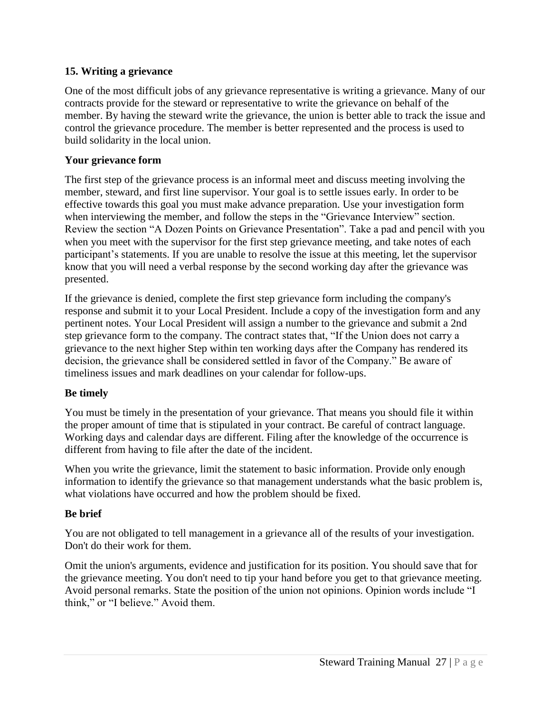# **15. Writing a grievance**

One of the most difficult jobs of any grievance representative is writing a grievance. Many of our contracts provide for the steward or representative to write the grievance on behalf of the member. By having the steward write the grievance, the union is better able to track the issue and control the grievance procedure. The member is better represented and the process is used to build solidarity in the local union.

## **Your grievance form**

The first step of the grievance process is an informal meet and discuss meeting involving the member, steward, and first line supervisor. Your goal is to settle issues early. In order to be effective towards this goal you must make advance preparation. Use your investigation form when interviewing the member, and follow the steps in the "Grievance Interview" section. Review the section "A Dozen Points on Grievance Presentation". Take a pad and pencil with you when you meet with the supervisor for the first step grievance meeting, and take notes of each participant's statements. If you are unable to resolve the issue at this meeting, let the supervisor know that you will need a verbal response by the second working day after the grievance was presented.

If the grievance is denied, complete the first step grievance form including the company's response and submit it to your Local President. Include a copy of the investigation form and any pertinent notes. Your Local President will assign a number to the grievance and submit a 2nd step grievance form to the company. The contract states that, "If the Union does not carry a grievance to the next higher Step within ten working days after the Company has rendered its decision, the grievance shall be considered settled in favor of the Company." Be aware of timeliness issues and mark deadlines on your calendar for follow-ups.

## **Be timely**

You must be timely in the presentation of your grievance. That means you should file it within the proper amount of time that is stipulated in your contract. Be careful of contract language. Working days and calendar days are different. Filing after the knowledge of the occurrence is different from having to file after the date of the incident.

When you write the grievance, limit the statement to basic information. Provide only enough information to identify the grievance so that management understands what the basic problem is, what violations have occurred and how the problem should be fixed.

# **Be brief**

You are not obligated to tell management in a grievance all of the results of your investigation. Don't do their work for them.

Omit the union's arguments, evidence and justification for its position. You should save that for the grievance meeting. You don't need to tip your hand before you get to that grievance meeting. Avoid personal remarks. State the position of the union not opinions. Opinion words include "I think," or "I believe." Avoid them.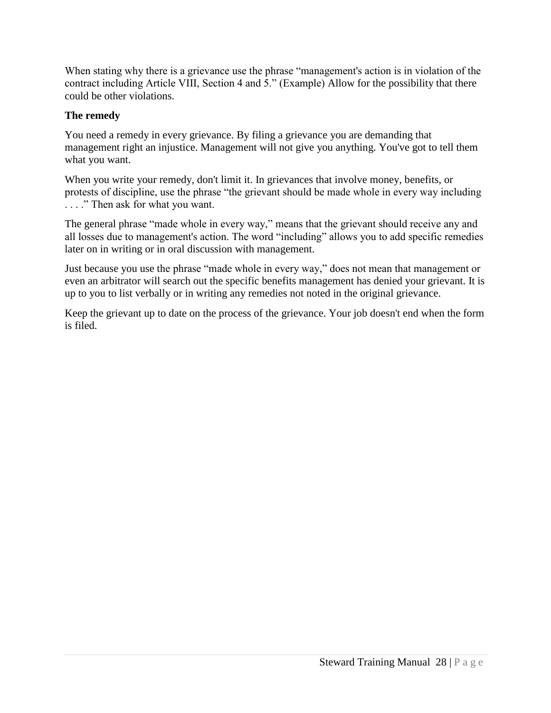When stating why there is a grievance use the phrase "management's action is in violation of the contract including Article VIII, Section 4 and 5." (Example) Allow for the possibility that there could be other violations.

# **The remedy**

You need a remedy in every grievance. By filing a grievance you are demanding that management right an injustice. Management will not give you anything. You've got to tell them what you want.

When you write your remedy, don't limit it. In grievances that involve money, benefits, or protests of discipline, use the phrase "the grievant should be made whole in every way including . . . ." Then ask for what you want.

The general phrase "made whole in every way," means that the grievant should receive any and all losses due to management's action. The word "including" allows you to add specific remedies later on in writing or in oral discussion with management.

Just because you use the phrase "made whole in every way," does not mean that management or even an arbitrator will search out the specific benefits management has denied your grievant. It is up to you to list verbally or in writing any remedies not noted in the original grievance.

Keep the grievant up to date on the process of the grievance. Your job doesn't end when the form is filed.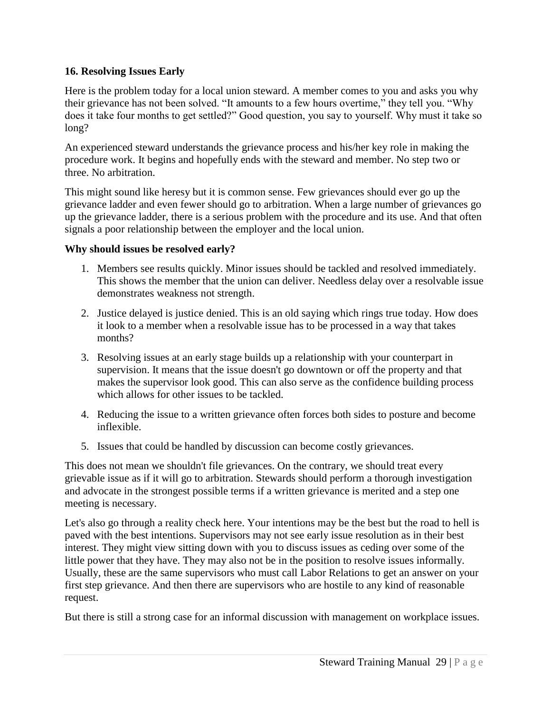# **16. Resolving Issues Early**

Here is the problem today for a local union steward. A member comes to you and asks you why their grievance has not been solved. "It amounts to a few hours overtime," they tell you. "Why does it take four months to get settled?" Good question, you say to yourself. Why must it take so long?

An experienced steward understands the grievance process and his/her key role in making the procedure work. It begins and hopefully ends with the steward and member. No step two or three. No arbitration.

This might sound like heresy but it is common sense. Few grievances should ever go up the grievance ladder and even fewer should go to arbitration. When a large number of grievances go up the grievance ladder, there is a serious problem with the procedure and its use. And that often signals a poor relationship between the employer and the local union.

## **Why should issues be resolved early?**

- 1. Members see results quickly. Minor issues should be tackled and resolved immediately. This shows the member that the union can deliver. Needless delay over a resolvable issue demonstrates weakness not strength.
- 2. Justice delayed is justice denied. This is an old saying which rings true today. How does it look to a member when a resolvable issue has to be processed in a way that takes months?
- 3. Resolving issues at an early stage builds up a relationship with your counterpart in supervision. It means that the issue doesn't go downtown or off the property and that makes the supervisor look good. This can also serve as the confidence building process which allows for other issues to be tackled.
- 4. Reducing the issue to a written grievance often forces both sides to posture and become inflexible.
- 5. Issues that could be handled by discussion can become costly grievances.

This does not mean we shouldn't file grievances. On the contrary, we should treat every grievable issue as if it will go to arbitration. Stewards should perform a thorough investigation and advocate in the strongest possible terms if a written grievance is merited and a step one meeting is necessary.

Let's also go through a reality check here. Your intentions may be the best but the road to hell is paved with the best intentions. Supervisors may not see early issue resolution as in their best interest. They might view sitting down with you to discuss issues as ceding over some of the little power that they have. They may also not be in the position to resolve issues informally. Usually, these are the same supervisors who must call Labor Relations to get an answer on your first step grievance. And then there are supervisors who are hostile to any kind of reasonable request.

But there is still a strong case for an informal discussion with management on workplace issues.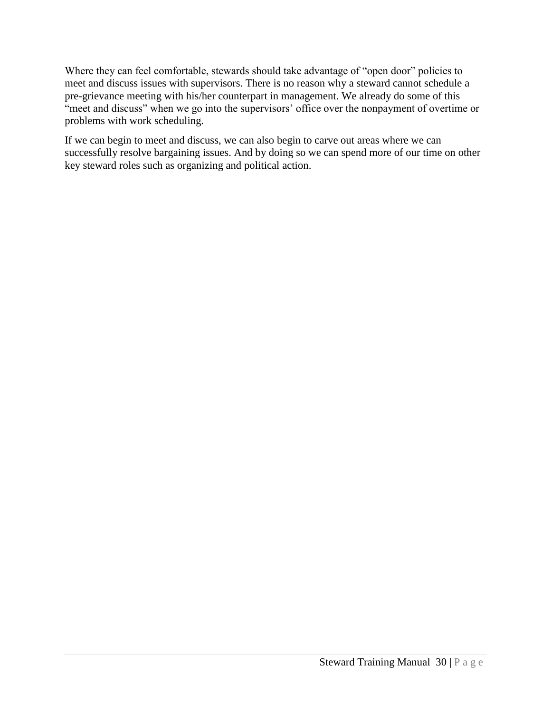Where they can feel comfortable, stewards should take advantage of "open door" policies to meet and discuss issues with supervisors. There is no reason why a steward cannot schedule a pre-grievance meeting with his/her counterpart in management. We already do some of this "meet and discuss" when we go into the supervisors' office over the nonpayment of overtime or problems with work scheduling.

If we can begin to meet and discuss, we can also begin to carve out areas where we can successfully resolve bargaining issues. And by doing so we can spend more of our time on other key steward roles such as organizing and political action.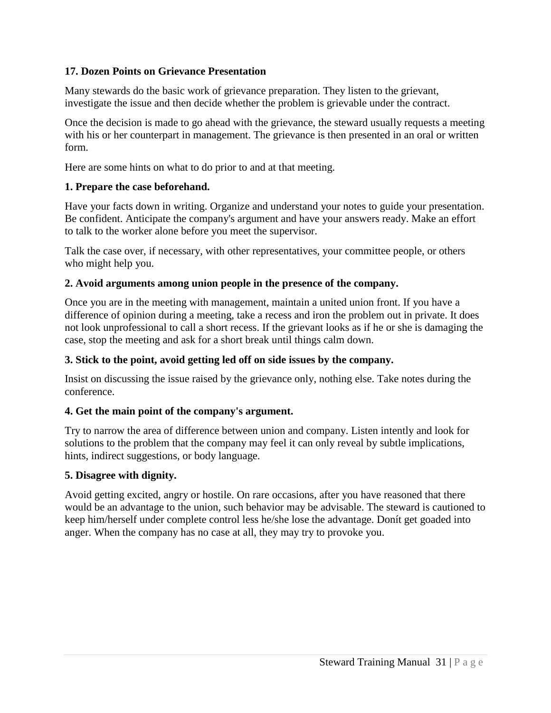# **17. Dozen Points on Grievance Presentation**

Many stewards do the basic work of grievance preparation. They listen to the grievant, investigate the issue and then decide whether the problem is grievable under the contract.

Once the decision is made to go ahead with the grievance, the steward usually requests a meeting with his or her counterpart in management. The grievance is then presented in an oral or written form.

Here are some hints on what to do prior to and at that meeting.

#### **1. Prepare the case beforehand.**

Have your facts down in writing. Organize and understand your notes to guide your presentation. Be confident. Anticipate the company's argument and have your answers ready. Make an effort to talk to the worker alone before you meet the supervisor.

Talk the case over, if necessary, with other representatives, your committee people, or others who might help you.

#### **2. Avoid arguments among union people in the presence of the company.**

Once you are in the meeting with management, maintain a united union front. If you have a difference of opinion during a meeting, take a recess and iron the problem out in private. It does not look unprofessional to call a short recess. If the grievant looks as if he or she is damaging the case, stop the meeting and ask for a short break until things calm down.

## **3. Stick to the point, avoid getting led off on side issues by the company.**

Insist on discussing the issue raised by the grievance only, nothing else. Take notes during the conference.

## **4. Get the main point of the company's argument.**

Try to narrow the area of difference between union and company. Listen intently and look for solutions to the problem that the company may feel it can only reveal by subtle implications, hints, indirect suggestions, or body language.

## **5. Disagree with dignity.**

Avoid getting excited, angry or hostile. On rare occasions, after you have reasoned that there would be an advantage to the union, such behavior may be advisable. The steward is cautioned to keep him/herself under complete control less he/she lose the advantage. Donít get goaded into anger. When the company has no case at all, they may try to provoke you.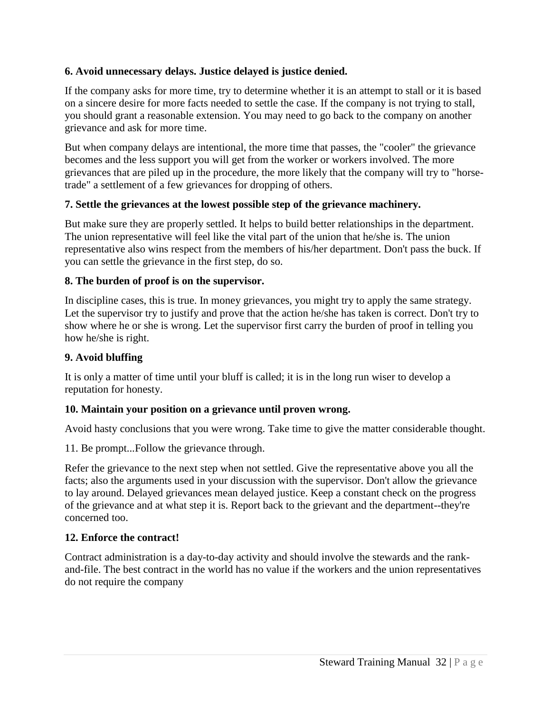# **6. Avoid unnecessary delays. Justice delayed is justice denied.**

If the company asks for more time, try to determine whether it is an attempt to stall or it is based on a sincere desire for more facts needed to settle the case. If the company is not trying to stall, you should grant a reasonable extension. You may need to go back to the company on another grievance and ask for more time.

But when company delays are intentional, the more time that passes, the "cooler" the grievance becomes and the less support you will get from the worker or workers involved. The more grievances that are piled up in the procedure, the more likely that the company will try to "horsetrade" a settlement of a few grievances for dropping of others.

# **7. Settle the grievances at the lowest possible step of the grievance machinery.**

But make sure they are properly settled. It helps to build better relationships in the department. The union representative will feel like the vital part of the union that he/she is. The union representative also wins respect from the members of his/her department. Don't pass the buck. If you can settle the grievance in the first step, do so.

# **8. The burden of proof is on the supervisor.**

In discipline cases, this is true. In money grievances, you might try to apply the same strategy. Let the supervisor try to justify and prove that the action he/she has taken is correct. Don't try to show where he or she is wrong. Let the supervisor first carry the burden of proof in telling you how he/she is right.

# **9. Avoid bluffing**

It is only a matter of time until your bluff is called; it is in the long run wiser to develop a reputation for honesty.

# **10. Maintain your position on a grievance until proven wrong.**

Avoid hasty conclusions that you were wrong. Take time to give the matter considerable thought.

11. Be prompt...Follow the grievance through.

Refer the grievance to the next step when not settled. Give the representative above you all the facts; also the arguments used in your discussion with the supervisor. Don't allow the grievance to lay around. Delayed grievances mean delayed justice. Keep a constant check on the progress of the grievance and at what step it is. Report back to the grievant and the department--they're concerned too.

# **12. Enforce the contract!**

Contract administration is a day-to-day activity and should involve the stewards and the rankand-file. The best contract in the world has no value if the workers and the union representatives do not require the company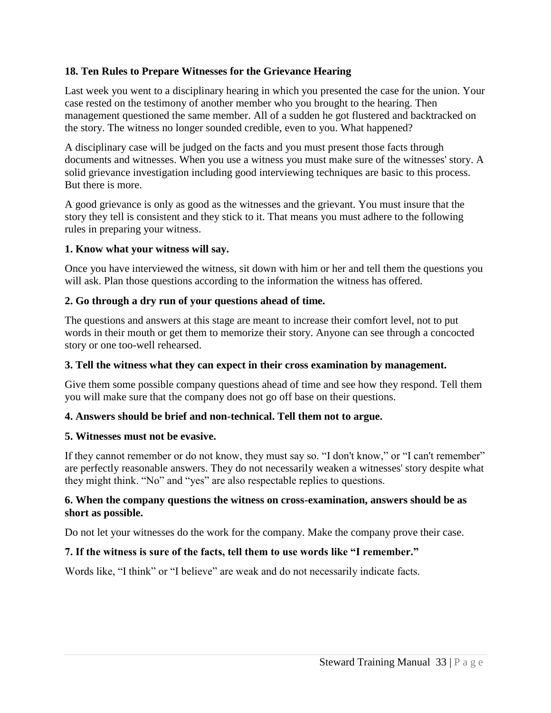# **18. Ten Rules to Prepare Witnesses for the Grievance Hearing**

Last week you went to a disciplinary hearing in which you presented the case for the union. Your case rested on the testimony of another member who you brought to the hearing. Then management questioned the same member. All of a sudden he got flustered and backtracked on the story. The witness no longer sounded credible, even to you. What happened?

A disciplinary case will be judged on the facts and you must present those facts through documents and witnesses. When you use a witness you must make sure of the witnesses' story. A solid grievance investigation including good interviewing techniques are basic to this process. But there is more.

A good grievance is only as good as the witnesses and the grievant. You must insure that the story they tell is consistent and they stick to it. That means you must adhere to the following rules in preparing your witness.

#### **1. Know what your witness will say.**

Once you have interviewed the witness, sit down with him or her and tell them the questions you will ask. Plan those questions according to the information the witness has offered.

## **2. Go through a dry run of your questions ahead of time.**

The questions and answers at this stage are meant to increase their comfort level, not to put words in their mouth or get them to memorize their story. Anyone can see through a concocted story or one too-well rehearsed.

## **3. Tell the witness what they can expect in their cross examination by management.**

Give them some possible company questions ahead of time and see how they respond. Tell them you will make sure that the company does not go off base on their questions.

## **4. Answers should be brief and non-technical. Tell them not to argue.**

## **5. Witnesses must not be evasive.**

If they cannot remember or do not know, they must say so. "I don't know," or "I can't remember" are perfectly reasonable answers. They do not necessarily weaken a witnesses' story despite what they might think. "No" and "yes" are also respectable replies to questions.

#### **6. When the company questions the witness on cross-examination, answers should be as short as possible.**

Do not let your witnesses do the work for the company. Make the company prove their case.

## **7. If the witness is sure of the facts, tell them to use words like "I remember."**

Words like, "I think" or "I believe" are weak and do not necessarily indicate facts.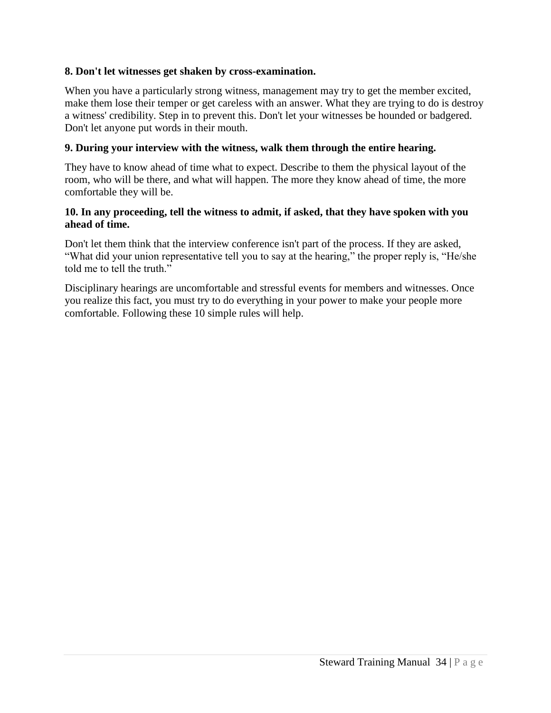## **8. Don't let witnesses get shaken by cross-examination.**

When you have a particularly strong witness, management may try to get the member excited, make them lose their temper or get careless with an answer. What they are trying to do is destroy a witness' credibility. Step in to prevent this. Don't let your witnesses be hounded or badgered. Don't let anyone put words in their mouth.

# **9. During your interview with the witness, walk them through the entire hearing.**

They have to know ahead of time what to expect. Describe to them the physical layout of the room, who will be there, and what will happen. The more they know ahead of time, the more comfortable they will be.

## **10. In any proceeding, tell the witness to admit, if asked, that they have spoken with you ahead of time.**

Don't let them think that the interview conference isn't part of the process. If they are asked, "What did your union representative tell you to say at the hearing," the proper reply is, "He/she told me to tell the truth."

Disciplinary hearings are uncomfortable and stressful events for members and witnesses. Once you realize this fact, you must try to do everything in your power to make your people more comfortable. Following these 10 simple rules will help.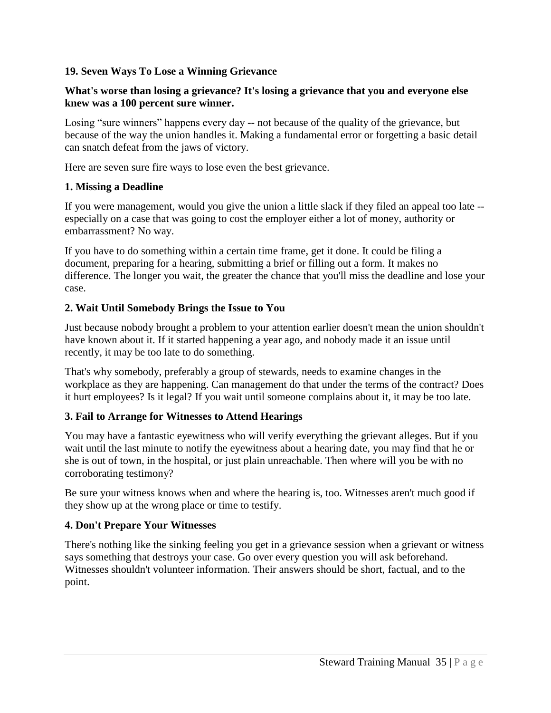# **19. Seven Ways To Lose a Winning Grievance**

## **What's worse than losing a grievance? It's losing a grievance that you and everyone else knew was a 100 percent sure winner.**

Losing "sure winners" happens every day -- not because of the quality of the grievance, but because of the way the union handles it. Making a fundamental error or forgetting a basic detail can snatch defeat from the jaws of victory.

Here are seven sure fire ways to lose even the best grievance.

## **1. Missing a Deadline**

If you were management, would you give the union a little slack if they filed an appeal too late - especially on a case that was going to cost the employer either a lot of money, authority or embarrassment? No way.

If you have to do something within a certain time frame, get it done. It could be filing a document, preparing for a hearing, submitting a brief or filling out a form. It makes no difference. The longer you wait, the greater the chance that you'll miss the deadline and lose your case.

# **2. Wait Until Somebody Brings the Issue to You**

Just because nobody brought a problem to your attention earlier doesn't mean the union shouldn't have known about it. If it started happening a year ago, and nobody made it an issue until recently, it may be too late to do something.

That's why somebody, preferably a group of stewards, needs to examine changes in the workplace as they are happening. Can management do that under the terms of the contract? Does it hurt employees? Is it legal? If you wait until someone complains about it, it may be too late.

## **3. Fail to Arrange for Witnesses to Attend Hearings**

You may have a fantastic eyewitness who will verify everything the grievant alleges. But if you wait until the last minute to notify the eyewitness about a hearing date, you may find that he or she is out of town, in the hospital, or just plain unreachable. Then where will you be with no corroborating testimony?

Be sure your witness knows when and where the hearing is, too. Witnesses aren't much good if they show up at the wrong place or time to testify.

# **4. Don't Prepare Your Witnesses**

There's nothing like the sinking feeling you get in a grievance session when a grievant or witness says something that destroys your case. Go over every question you will ask beforehand. Witnesses shouldn't volunteer information. Their answers should be short, factual, and to the point.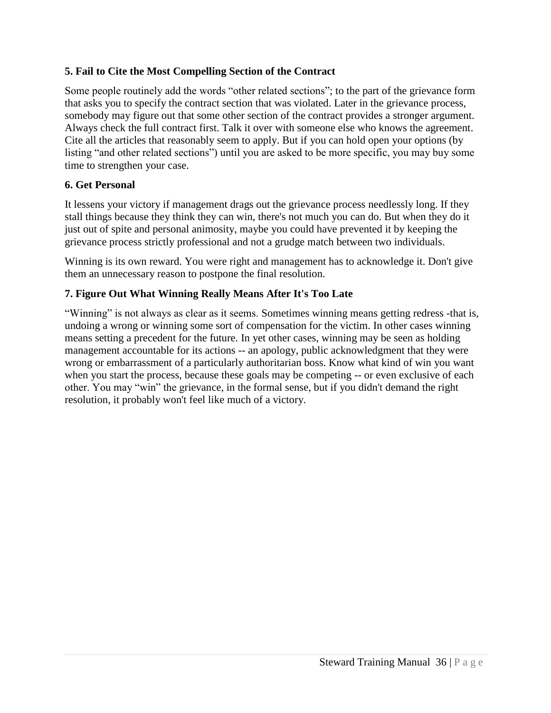# **5. Fail to Cite the Most Compelling Section of the Contract**

Some people routinely add the words "other related sections"; to the part of the grievance form that asks you to specify the contract section that was violated. Later in the grievance process, somebody may figure out that some other section of the contract provides a stronger argument. Always check the full contract first. Talk it over with someone else who knows the agreement. Cite all the articles that reasonably seem to apply. But if you can hold open your options (by listing "and other related sections") until you are asked to be more specific, you may buy some time to strengthen your case.

# **6. Get Personal**

It lessens your victory if management drags out the grievance process needlessly long. If they stall things because they think they can win, there's not much you can do. But when they do it just out of spite and personal animosity, maybe you could have prevented it by keeping the grievance process strictly professional and not a grudge match between two individuals.

Winning is its own reward. You were right and management has to acknowledge it. Don't give them an unnecessary reason to postpone the final resolution.

# **7. Figure Out What Winning Really Means After It's Too Late**

"Winning" is not always as clear as it seems. Sometimes winning means getting redress -that is, undoing a wrong or winning some sort of compensation for the victim. In other cases winning means setting a precedent for the future. In yet other cases, winning may be seen as holding management accountable for its actions -- an apology, public acknowledgment that they were wrong or embarrassment of a particularly authoritarian boss. Know what kind of win you want when you start the process, because these goals may be competing -- or even exclusive of each other. You may "win" the grievance, in the formal sense, but if you didn't demand the right resolution, it probably won't feel like much of a victory.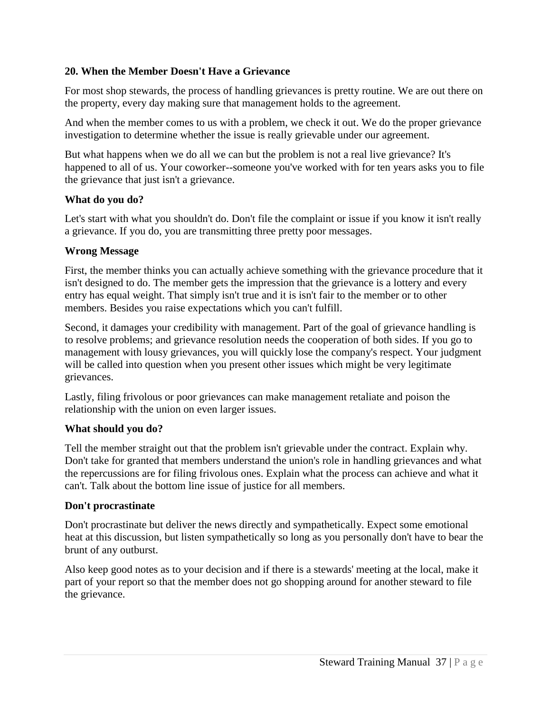# **20. When the Member Doesn't Have a Grievance**

For most shop stewards, the process of handling grievances is pretty routine. We are out there on the property, every day making sure that management holds to the agreement.

And when the member comes to us with a problem, we check it out. We do the proper grievance investigation to determine whether the issue is really grievable under our agreement.

But what happens when we do all we can but the problem is not a real live grievance? It's happened to all of us. Your coworker--someone you've worked with for ten years asks you to file the grievance that just isn't a grievance.

## **What do you do?**

Let's start with what you shouldn't do. Don't file the complaint or issue if you know it isn't really a grievance. If you do, you are transmitting three pretty poor messages.

# **Wrong Message**

First, the member thinks you can actually achieve something with the grievance procedure that it isn't designed to do. The member gets the impression that the grievance is a lottery and every entry has equal weight. That simply isn't true and it is isn't fair to the member or to other members. Besides you raise expectations which you can't fulfill.

Second, it damages your credibility with management. Part of the goal of grievance handling is to resolve problems; and grievance resolution needs the cooperation of both sides. If you go to management with lousy grievances, you will quickly lose the company's respect. Your judgment will be called into question when you present other issues which might be very legitimate grievances.

Lastly, filing frivolous or poor grievances can make management retaliate and poison the relationship with the union on even larger issues.

# **What should you do?**

Tell the member straight out that the problem isn't grievable under the contract. Explain why. Don't take for granted that members understand the union's role in handling grievances and what the repercussions are for filing frivolous ones. Explain what the process can achieve and what it can't. Talk about the bottom line issue of justice for all members.

# **Don't procrastinate**

Don't procrastinate but deliver the news directly and sympathetically. Expect some emotional heat at this discussion, but listen sympathetically so long as you personally don't have to bear the brunt of any outburst.

Also keep good notes as to your decision and if there is a stewards' meeting at the local, make it part of your report so that the member does not go shopping around for another steward to file the grievance.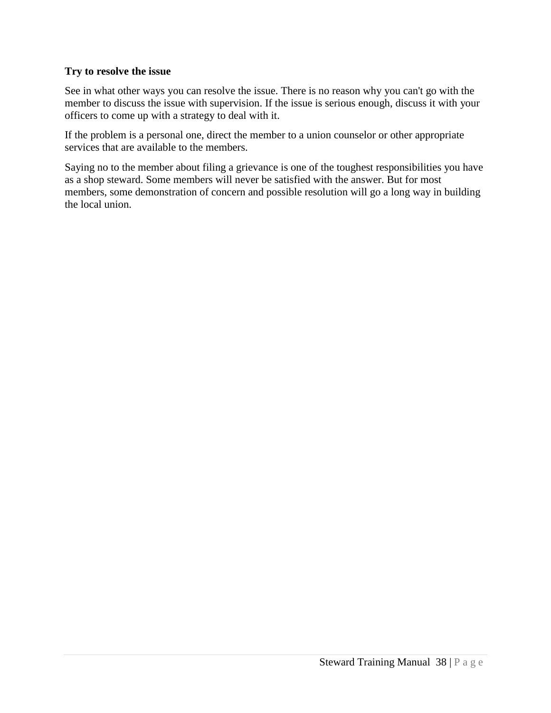# **Try to resolve the issue**

See in what other ways you can resolve the issue. There is no reason why you can't go with the member to discuss the issue with supervision. If the issue is serious enough, discuss it with your officers to come up with a strategy to deal with it.

If the problem is a personal one, direct the member to a union counselor or other appropriate services that are available to the members.

Saying no to the member about filing a grievance is one of the toughest responsibilities you have as a shop steward. Some members will never be satisfied with the answer. But for most members, some demonstration of concern and possible resolution will go a long way in building the local union.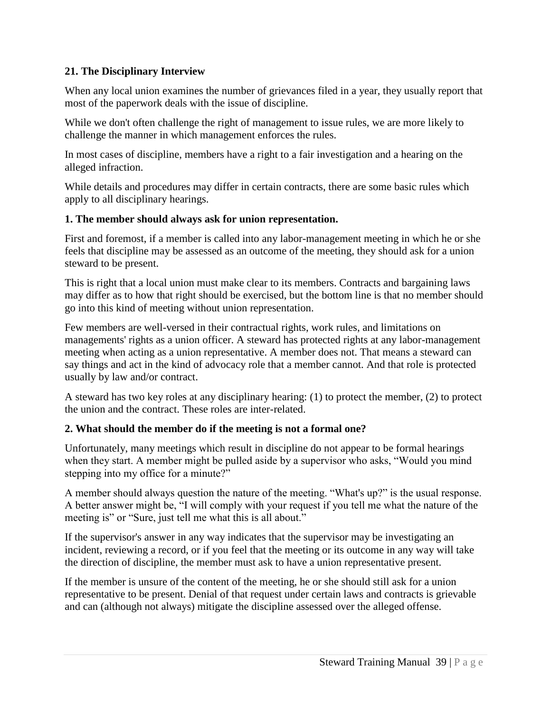# **21. The Disciplinary Interview**

When any local union examines the number of grievances filed in a year, they usually report that most of the paperwork deals with the issue of discipline.

While we don't often challenge the right of management to issue rules, we are more likely to challenge the manner in which management enforces the rules.

In most cases of discipline, members have a right to a fair investigation and a hearing on the alleged infraction.

While details and procedures may differ in certain contracts, there are some basic rules which apply to all disciplinary hearings.

# **1. The member should always ask for union representation.**

First and foremost, if a member is called into any labor-management meeting in which he or she feels that discipline may be assessed as an outcome of the meeting, they should ask for a union steward to be present.

This is right that a local union must make clear to its members. Contracts and bargaining laws may differ as to how that right should be exercised, but the bottom line is that no member should go into this kind of meeting without union representation.

Few members are well-versed in their contractual rights, work rules, and limitations on managements' rights as a union officer. A steward has protected rights at any labor-management meeting when acting as a union representative. A member does not. That means a steward can say things and act in the kind of advocacy role that a member cannot. And that role is protected usually by law and/or contract.

A steward has two key roles at any disciplinary hearing: (1) to protect the member, (2) to protect the union and the contract. These roles are inter-related.

# **2. What should the member do if the meeting is not a formal one?**

Unfortunately, many meetings which result in discipline do not appear to be formal hearings when they start. A member might be pulled aside by a supervisor who asks, "Would you mind stepping into my office for a minute?"

A member should always question the nature of the meeting. "What's up?" is the usual response. A better answer might be, "I will comply with your request if you tell me what the nature of the meeting is" or "Sure, just tell me what this is all about."

If the supervisor's answer in any way indicates that the supervisor may be investigating an incident, reviewing a record, or if you feel that the meeting or its outcome in any way will take the direction of discipline, the member must ask to have a union representative present.

If the member is unsure of the content of the meeting, he or she should still ask for a union representative to be present. Denial of that request under certain laws and contracts is grievable and can (although not always) mitigate the discipline assessed over the alleged offense.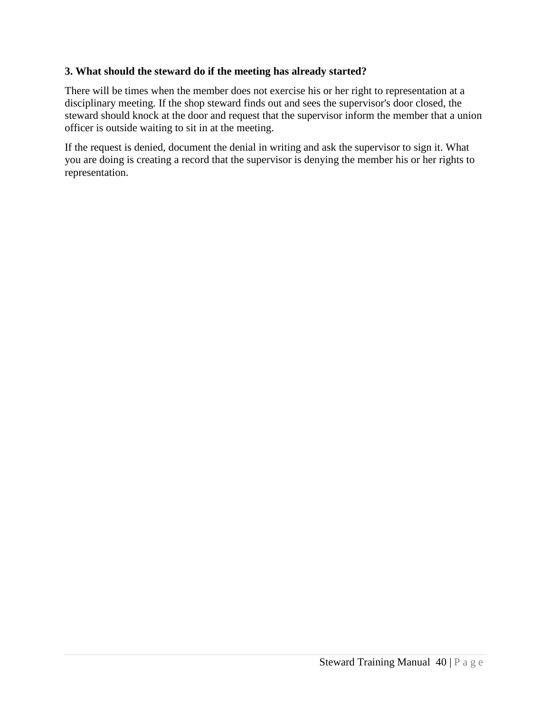# **3. What should the steward do if the meeting has already started?**

There will be times when the member does not exercise his or her right to representation at a disciplinary meeting. If the shop steward finds out and sees the supervisor's door closed, the steward should knock at the door and request that the supervisor inform the member that a union officer is outside waiting to sit in at the meeting.

If the request is denied, document the denial in writing and ask the supervisor to sign it. What you are doing is creating a record that the supervisor is denying the member his or her rights to representation.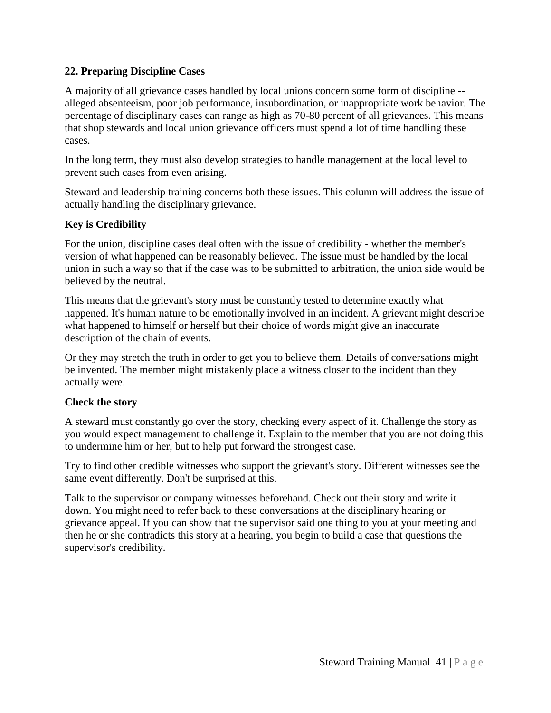# **22. Preparing Discipline Cases**

A majority of all grievance cases handled by local unions concern some form of discipline - alleged absenteeism, poor job performance, insubordination, or inappropriate work behavior. The percentage of disciplinary cases can range as high as 70-80 percent of all grievances. This means that shop stewards and local union grievance officers must spend a lot of time handling these cases.

In the long term, they must also develop strategies to handle management at the local level to prevent such cases from even arising.

Steward and leadership training concerns both these issues. This column will address the issue of actually handling the disciplinary grievance.

# **Key is Credibility**

For the union, discipline cases deal often with the issue of credibility - whether the member's version of what happened can be reasonably believed. The issue must be handled by the local union in such a way so that if the case was to be submitted to arbitration, the union side would be believed by the neutral.

This means that the grievant's story must be constantly tested to determine exactly what happened. It's human nature to be emotionally involved in an incident. A grievant might describe what happened to himself or herself but their choice of words might give an inaccurate description of the chain of events.

Or they may stretch the truth in order to get you to believe them. Details of conversations might be invented. The member might mistakenly place a witness closer to the incident than they actually were.

## **Check the story**

A steward must constantly go over the story, checking every aspect of it. Challenge the story as you would expect management to challenge it. Explain to the member that you are not doing this to undermine him or her, but to help put forward the strongest case.

Try to find other credible witnesses who support the grievant's story. Different witnesses see the same event differently. Don't be surprised at this.

Talk to the supervisor or company witnesses beforehand. Check out their story and write it down. You might need to refer back to these conversations at the disciplinary hearing or grievance appeal. If you can show that the supervisor said one thing to you at your meeting and then he or she contradicts this story at a hearing, you begin to build a case that questions the supervisor's credibility.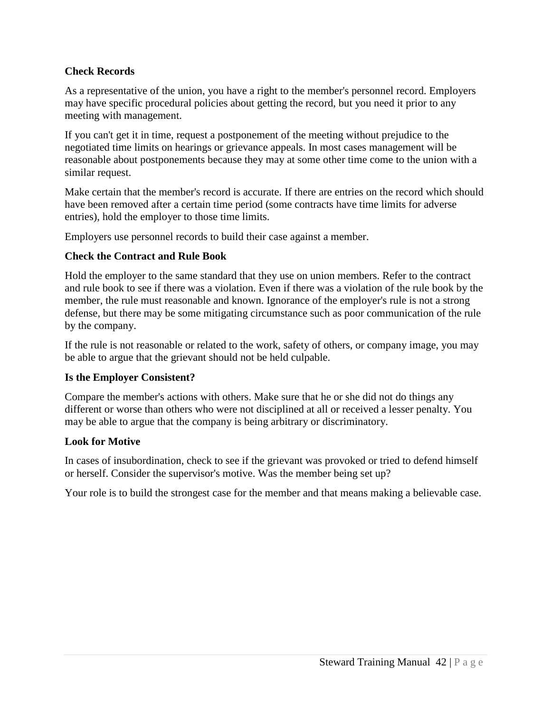# **Check Records**

As a representative of the union, you have a right to the member's personnel record. Employers may have specific procedural policies about getting the record, but you need it prior to any meeting with management.

If you can't get it in time, request a postponement of the meeting without prejudice to the negotiated time limits on hearings or grievance appeals. In most cases management will be reasonable about postponements because they may at some other time come to the union with a similar request.

Make certain that the member's record is accurate. If there are entries on the record which should have been removed after a certain time period (some contracts have time limits for adverse entries), hold the employer to those time limits.

Employers use personnel records to build their case against a member.

#### **Check the Contract and Rule Book**

Hold the employer to the same standard that they use on union members. Refer to the contract and rule book to see if there was a violation. Even if there was a violation of the rule book by the member, the rule must reasonable and known. Ignorance of the employer's rule is not a strong defense, but there may be some mitigating circumstance such as poor communication of the rule by the company.

If the rule is not reasonable or related to the work, safety of others, or company image, you may be able to argue that the grievant should not be held culpable.

## **Is the Employer Consistent?**

Compare the member's actions with others. Make sure that he or she did not do things any different or worse than others who were not disciplined at all or received a lesser penalty. You may be able to argue that the company is being arbitrary or discriminatory.

## **Look for Motive**

In cases of insubordination, check to see if the grievant was provoked or tried to defend himself or herself. Consider the supervisor's motive. Was the member being set up?

Your role is to build the strongest case for the member and that means making a believable case.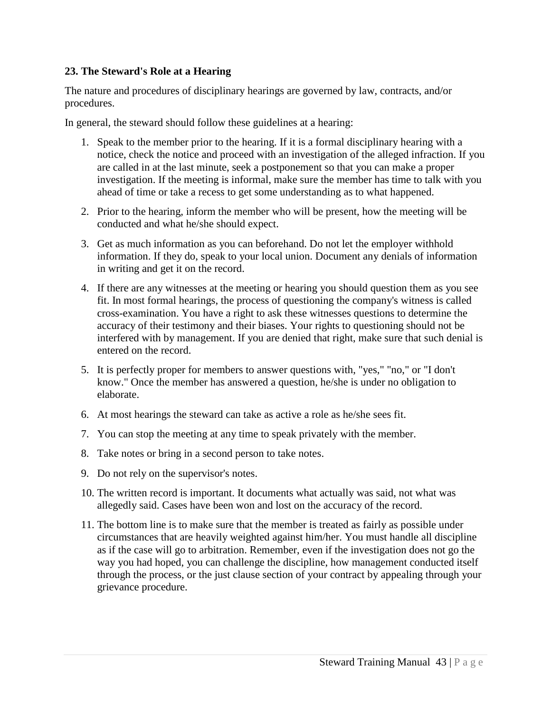# **23. The Steward's Role at a Hearing**

The nature and procedures of disciplinary hearings are governed by law, contracts, and/or procedures.

In general, the steward should follow these guidelines at a hearing:

- 1. Speak to the member prior to the hearing. If it is a formal disciplinary hearing with a notice, check the notice and proceed with an investigation of the alleged infraction. If you are called in at the last minute, seek a postponement so that you can make a proper investigation. If the meeting is informal, make sure the member has time to talk with you ahead of time or take a recess to get some understanding as to what happened.
- 2. Prior to the hearing, inform the member who will be present, how the meeting will be conducted and what he/she should expect.
- 3. Get as much information as you can beforehand. Do not let the employer withhold information. If they do, speak to your local union. Document any denials of information in writing and get it on the record.
- 4. If there are any witnesses at the meeting or hearing you should question them as you see fit. In most formal hearings, the process of questioning the company's witness is called cross-examination. You have a right to ask these witnesses questions to determine the accuracy of their testimony and their biases. Your rights to questioning should not be interfered with by management. If you are denied that right, make sure that such denial is entered on the record.
- 5. It is perfectly proper for members to answer questions with, "yes," "no," or "I don't know." Once the member has answered a question, he/she is under no obligation to elaborate.
- 6. At most hearings the steward can take as active a role as he/she sees fit.
- 7. You can stop the meeting at any time to speak privately with the member.
- 8. Take notes or bring in a second person to take notes.
- 9. Do not rely on the supervisor's notes.
- 10. The written record is important. It documents what actually was said, not what was allegedly said. Cases have been won and lost on the accuracy of the record.
- 11. The bottom line is to make sure that the member is treated as fairly as possible under circumstances that are heavily weighted against him/her. You must handle all discipline as if the case will go to arbitration. Remember, even if the investigation does not go the way you had hoped, you can challenge the discipline, how management conducted itself through the process, or the just clause section of your contract by appealing through your grievance procedure.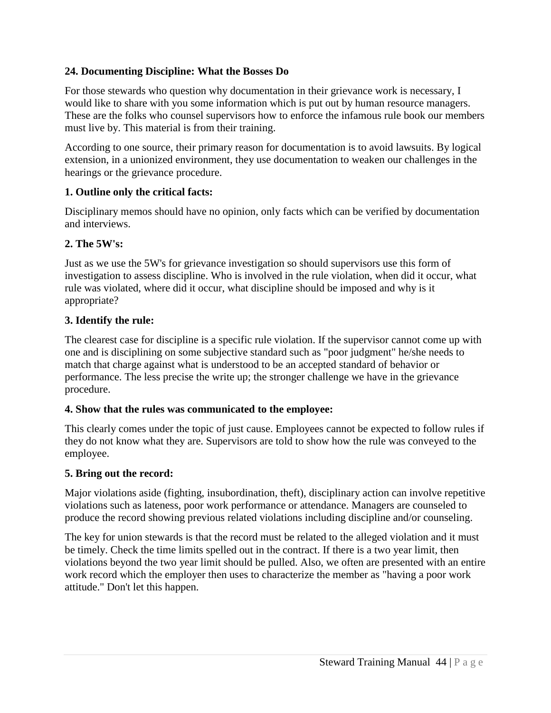# **24. Documenting Discipline: What the Bosses Do**

For those stewards who question why documentation in their grievance work is necessary, I would like to share with you some information which is put out by human resource managers. These are the folks who counsel supervisors how to enforce the infamous rule book our members must live by. This material is from their training.

According to one source, their primary reason for documentation is to avoid lawsuits. By logical extension, in a unionized environment, they use documentation to weaken our challenges in the hearings or the grievance procedure.

## **1. Outline only the critical facts:**

Disciplinary memos should have no opinion, only facts which can be verified by documentation and interviews.

## **2. The 5W's:**

Just as we use the 5W's for grievance investigation so should supervisors use this form of investigation to assess discipline. Who is involved in the rule violation, when did it occur, what rule was violated, where did it occur, what discipline should be imposed and why is it appropriate?

## **3. Identify the rule:**

The clearest case for discipline is a specific rule violation. If the supervisor cannot come up with one and is disciplining on some subjective standard such as "poor judgment" he/she needs to match that charge against what is understood to be an accepted standard of behavior or performance. The less precise the write up; the stronger challenge we have in the grievance procedure.

## **4. Show that the rules was communicated to the employee:**

This clearly comes under the topic of just cause. Employees cannot be expected to follow rules if they do not know what they are. Supervisors are told to show how the rule was conveyed to the employee.

#### **5. Bring out the record:**

Major violations aside (fighting, insubordination, theft), disciplinary action can involve repetitive violations such as lateness, poor work performance or attendance. Managers are counseled to produce the record showing previous related violations including discipline and/or counseling.

The key for union stewards is that the record must be related to the alleged violation and it must be timely. Check the time limits spelled out in the contract. If there is a two year limit, then violations beyond the two year limit should be pulled. Also, we often are presented with an entire work record which the employer then uses to characterize the member as "having a poor work attitude." Don't let this happen.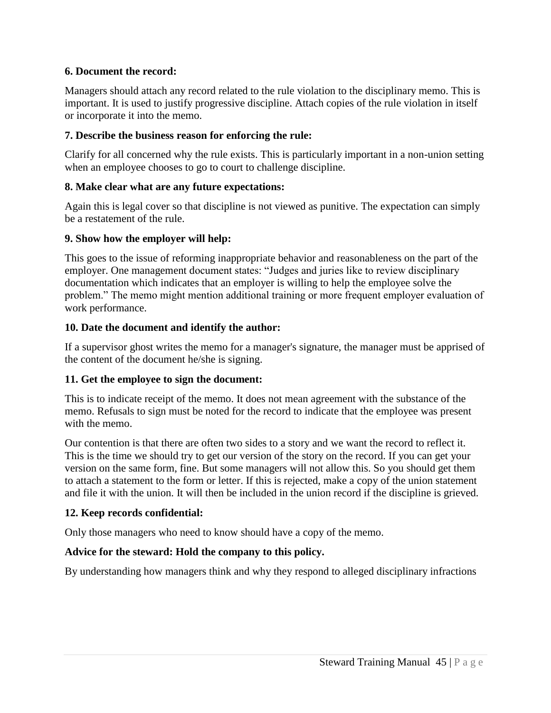# **6. Document the record:**

Managers should attach any record related to the rule violation to the disciplinary memo. This is important. It is used to justify progressive discipline. Attach copies of the rule violation in itself or incorporate it into the memo.

# **7. Describe the business reason for enforcing the rule:**

Clarify for all concerned why the rule exists. This is particularly important in a non-union setting when an employee chooses to go to court to challenge discipline.

# **8. Make clear what are any future expectations:**

Again this is legal cover so that discipline is not viewed as punitive. The expectation can simply be a restatement of the rule.

## **9. Show how the employer will help:**

This goes to the issue of reforming inappropriate behavior and reasonableness on the part of the employer. One management document states: "Judges and juries like to review disciplinary documentation which indicates that an employer is willing to help the employee solve the problem." The memo might mention additional training or more frequent employer evaluation of work performance.

# **10. Date the document and identify the author:**

If a supervisor ghost writes the memo for a manager's signature, the manager must be apprised of the content of the document he/she is signing.

# **11. Get the employee to sign the document:**

This is to indicate receipt of the memo. It does not mean agreement with the substance of the memo. Refusals to sign must be noted for the record to indicate that the employee was present with the memo.

Our contention is that there are often two sides to a story and we want the record to reflect it. This is the time we should try to get our version of the story on the record. If you can get your version on the same form, fine. But some managers will not allow this. So you should get them to attach a statement to the form or letter. If this is rejected, make a copy of the union statement and file it with the union. It will then be included in the union record if the discipline is grieved.

# **12. Keep records confidential:**

Only those managers who need to know should have a copy of the memo.

# **Advice for the steward: Hold the company to this policy.**

By understanding how managers think and why they respond to alleged disciplinary infractions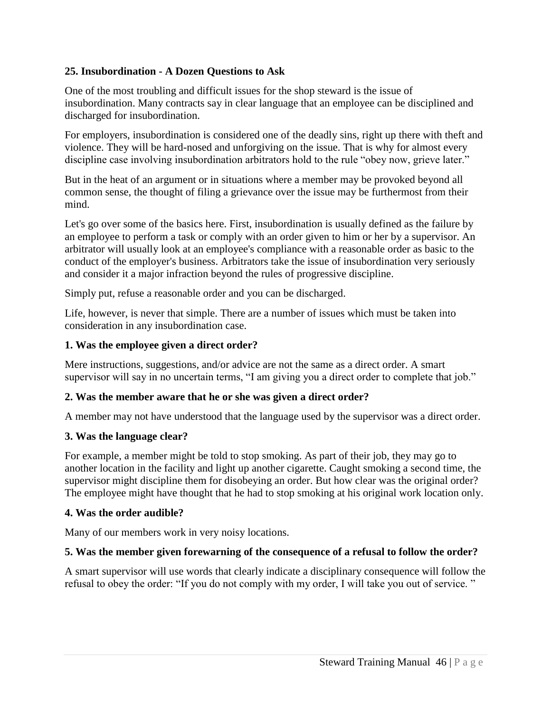# **25. Insubordination - A Dozen Questions to Ask**

One of the most troubling and difficult issues for the shop steward is the issue of insubordination. Many contracts say in clear language that an employee can be disciplined and discharged for insubordination.

For employers, insubordination is considered one of the deadly sins, right up there with theft and violence. They will be hard-nosed and unforgiving on the issue. That is why for almost every discipline case involving insubordination arbitrators hold to the rule "obey now, grieve later."

But in the heat of an argument or in situations where a member may be provoked beyond all common sense, the thought of filing a grievance over the issue may be furthermost from their mind.

Let's go over some of the basics here. First, insubordination is usually defined as the failure by an employee to perform a task or comply with an order given to him or her by a supervisor. An arbitrator will usually look at an employee's compliance with a reasonable order as basic to the conduct of the employer's business. Arbitrators take the issue of insubordination very seriously and consider it a major infraction beyond the rules of progressive discipline.

Simply put, refuse a reasonable order and you can be discharged.

Life, however, is never that simple. There are a number of issues which must be taken into consideration in any insubordination case.

## **1. Was the employee given a direct order?**

Mere instructions, suggestions, and/or advice are not the same as a direct order. A smart supervisor will say in no uncertain terms, "I am giving you a direct order to complete that job."

## **2. Was the member aware that he or she was given a direct order?**

A member may not have understood that the language used by the supervisor was a direct order.

# **3. Was the language clear?**

For example, a member might be told to stop smoking. As part of their job, they may go to another location in the facility and light up another cigarette. Caught smoking a second time, the supervisor might discipline them for disobeying an order. But how clear was the original order? The employee might have thought that he had to stop smoking at his original work location only.

## **4. Was the order audible?**

Many of our members work in very noisy locations.

# **5. Was the member given forewarning of the consequence of a refusal to follow the order?**

A smart supervisor will use words that clearly indicate a disciplinary consequence will follow the refusal to obey the order: "If you do not comply with my order, I will take you out of service. "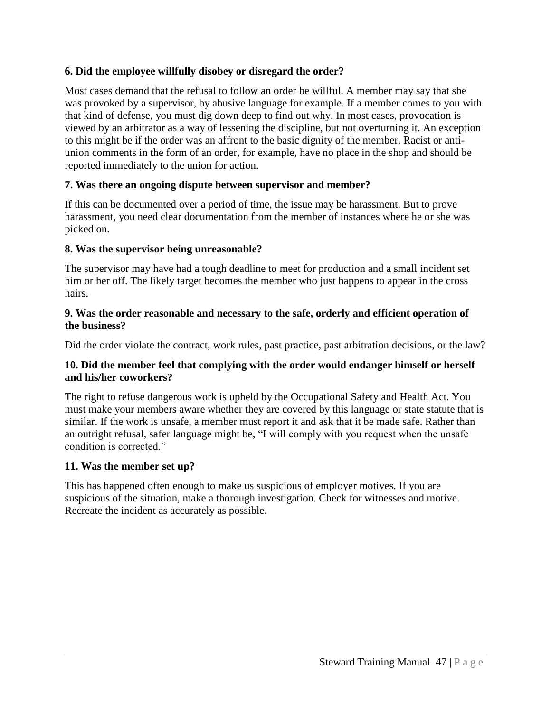# **6. Did the employee willfully disobey or disregard the order?**

Most cases demand that the refusal to follow an order be willful. A member may say that she was provoked by a supervisor, by abusive language for example. If a member comes to you with that kind of defense, you must dig down deep to find out why. In most cases, provocation is viewed by an arbitrator as a way of lessening the discipline, but not overturning it. An exception to this might be if the order was an affront to the basic dignity of the member. Racist or antiunion comments in the form of an order, for example, have no place in the shop and should be reported immediately to the union for action.

# **7. Was there an ongoing dispute between supervisor and member?**

If this can be documented over a period of time, the issue may be harassment. But to prove harassment, you need clear documentation from the member of instances where he or she was picked on.

## **8. Was the supervisor being unreasonable?**

The supervisor may have had a tough deadline to meet for production and a small incident set him or her off. The likely target becomes the member who just happens to appear in the cross hairs.

## **9. Was the order reasonable and necessary to the safe, orderly and efficient operation of the business?**

Did the order violate the contract, work rules, past practice, past arbitration decisions, or the law?

## **10. Did the member feel that complying with the order would endanger himself or herself and his/her coworkers?**

The right to refuse dangerous work is upheld by the Occupational Safety and Health Act. You must make your members aware whether they are covered by this language or state statute that is similar. If the work is unsafe, a member must report it and ask that it be made safe. Rather than an outright refusal, safer language might be, "I will comply with you request when the unsafe condition is corrected."

## **11. Was the member set up?**

This has happened often enough to make us suspicious of employer motives. If you are suspicious of the situation, make a thorough investigation. Check for witnesses and motive. Recreate the incident as accurately as possible.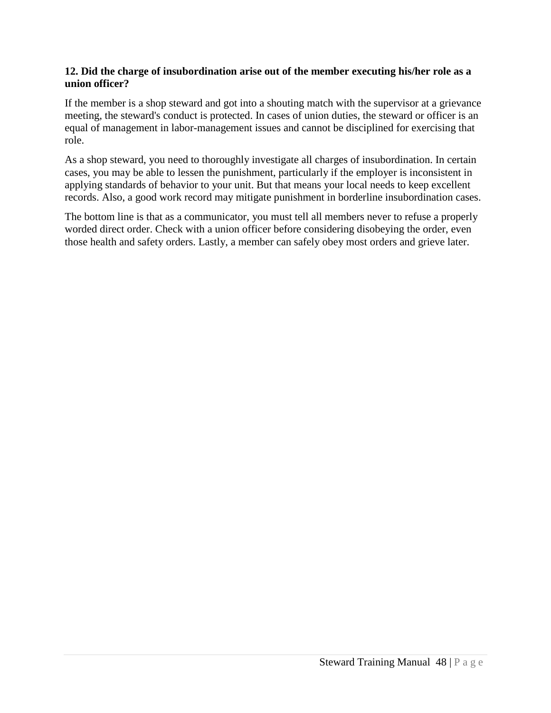## **12. Did the charge of insubordination arise out of the member executing his/her role as a union officer?**

If the member is a shop steward and got into a shouting match with the supervisor at a grievance meeting, the steward's conduct is protected. In cases of union duties, the steward or officer is an equal of management in labor-management issues and cannot be disciplined for exercising that role.

As a shop steward, you need to thoroughly investigate all charges of insubordination. In certain cases, you may be able to lessen the punishment, particularly if the employer is inconsistent in applying standards of behavior to your unit. But that means your local needs to keep excellent records. Also, a good work record may mitigate punishment in borderline insubordination cases.

The bottom line is that as a communicator, you must tell all members never to refuse a properly worded direct order. Check with a union officer before considering disobeying the order, even those health and safety orders. Lastly, a member can safely obey most orders and grieve later.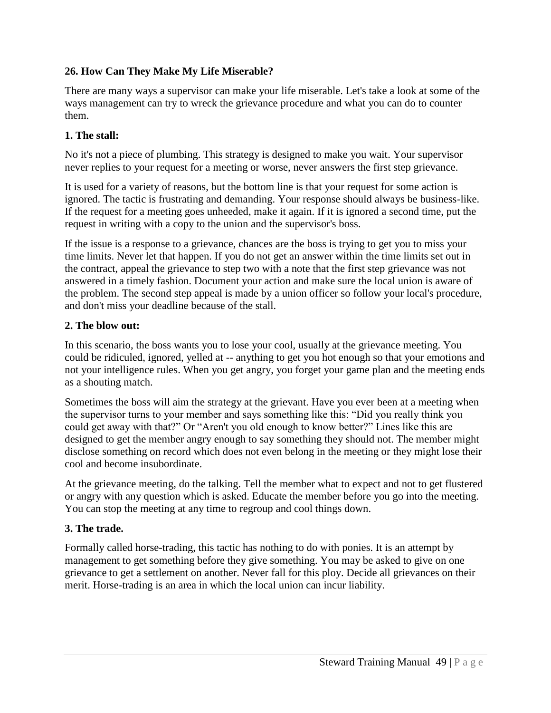# **26. How Can They Make My Life Miserable?**

There are many ways a supervisor can make your life miserable. Let's take a look at some of the ways management can try to wreck the grievance procedure and what you can do to counter them.

# **1. The stall:**

No it's not a piece of plumbing. This strategy is designed to make you wait. Your supervisor never replies to your request for a meeting or worse, never answers the first step grievance.

It is used for a variety of reasons, but the bottom line is that your request for some action is ignored. The tactic is frustrating and demanding. Your response should always be business-like. If the request for a meeting goes unheeded, make it again. If it is ignored a second time, put the request in writing with a copy to the union and the supervisor's boss.

If the issue is a response to a grievance, chances are the boss is trying to get you to miss your time limits. Never let that happen. If you do not get an answer within the time limits set out in the contract, appeal the grievance to step two with a note that the first step grievance was not answered in a timely fashion. Document your action and make sure the local union is aware of the problem. The second step appeal is made by a union officer so follow your local's procedure, and don't miss your deadline because of the stall.

# **2. The blow out:**

In this scenario, the boss wants you to lose your cool, usually at the grievance meeting. You could be ridiculed, ignored, yelled at -- anything to get you hot enough so that your emotions and not your intelligence rules. When you get angry, you forget your game plan and the meeting ends as a shouting match.

Sometimes the boss will aim the strategy at the grievant. Have you ever been at a meeting when the supervisor turns to your member and says something like this: "Did you really think you could get away with that?" Or "Aren't you old enough to know better?" Lines like this are designed to get the member angry enough to say something they should not. The member might disclose something on record which does not even belong in the meeting or they might lose their cool and become insubordinate.

At the grievance meeting, do the talking. Tell the member what to expect and not to get flustered or angry with any question which is asked. Educate the member before you go into the meeting. You can stop the meeting at any time to regroup and cool things down.

# **3. The trade.**

Formally called horse-trading, this tactic has nothing to do with ponies. It is an attempt by management to get something before they give something. You may be asked to give on one grievance to get a settlement on another. Never fall for this ploy. Decide all grievances on their merit. Horse-trading is an area in which the local union can incur liability.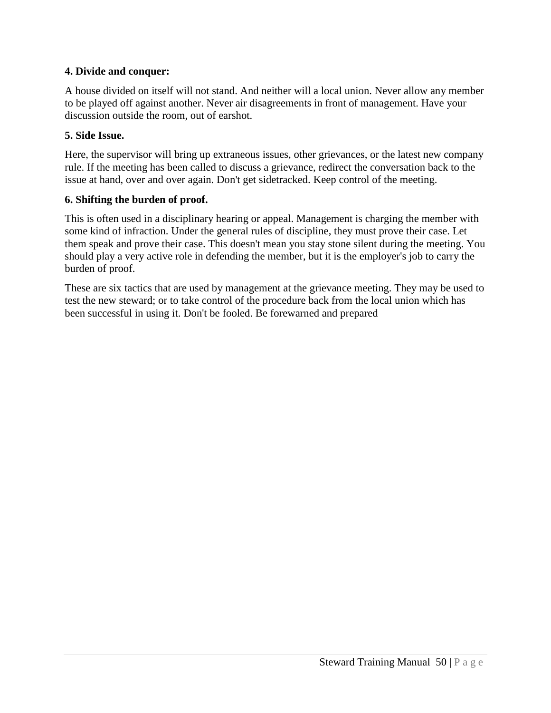# **4. Divide and conquer:**

A house divided on itself will not stand. And neither will a local union. Never allow any member to be played off against another. Never air disagreements in front of management. Have your discussion outside the room, out of earshot.

## **5. Side Issue.**

Here, the supervisor will bring up extraneous issues, other grievances, or the latest new company rule. If the meeting has been called to discuss a grievance, redirect the conversation back to the issue at hand, over and over again. Don't get sidetracked. Keep control of the meeting.

## **6. Shifting the burden of proof.**

This is often used in a disciplinary hearing or appeal. Management is charging the member with some kind of infraction. Under the general rules of discipline, they must prove their case. Let them speak and prove their case. This doesn't mean you stay stone silent during the meeting. You should play a very active role in defending the member, but it is the employer's job to carry the burden of proof.

These are six tactics that are used by management at the grievance meeting. They may be used to test the new steward; or to take control of the procedure back from the local union which has been successful in using it. Don't be fooled. Be forewarned and prepared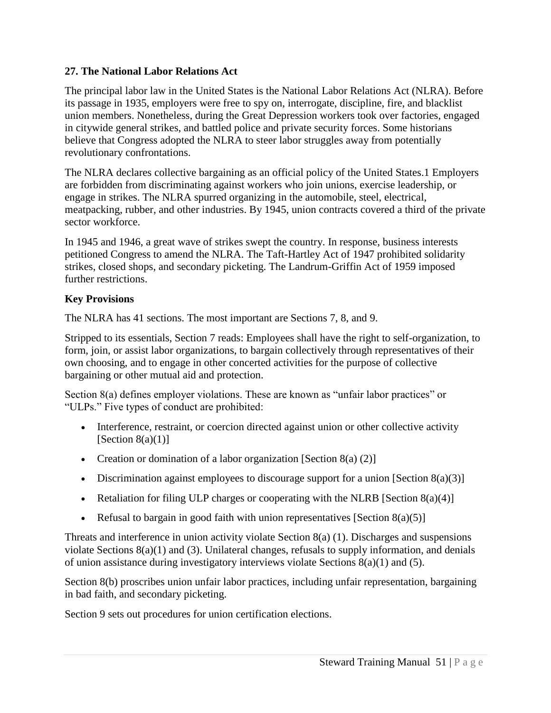# **27. The National Labor Relations Act**

The principal labor law in the United States is the National Labor Relations Act (NLRA). Before its passage in 1935, employers were free to spy on, interrogate, discipline, fire, and blacklist union members. Nonetheless, during the Great Depression workers took over factories, engaged in citywide general strikes, and battled police and private security forces. Some historians believe that Congress adopted the NLRA to steer labor struggles away from potentially revolutionary confrontations.

The NLRA declares collective bargaining as an official policy of the United States.1 Employers are forbidden from discriminating against workers who join unions, exercise leadership, or engage in strikes. The NLRA spurred organizing in the automobile, steel, electrical, meatpacking, rubber, and other industries. By 1945, union contracts covered a third of the private sector workforce.

In 1945 and 1946, a great wave of strikes swept the country. In response, business interests petitioned Congress to amend the NLRA. The Taft-Hartley Act of 1947 prohibited solidarity strikes, closed shops, and secondary picketing. The Landrum-Griffin Act of 1959 imposed further restrictions.

# **Key Provisions**

The NLRA has 41 sections. The most important are Sections 7, 8, and 9.

Stripped to its essentials, Section 7 reads: Employees shall have the right to self-organization, to form, join, or assist labor organizations, to bargain collectively through representatives of their own choosing, and to engage in other concerted activities for the purpose of collective bargaining or other mutual aid and protection.

Section 8(a) defines employer violations. These are known as "unfair labor practices" or "ULPs." Five types of conduct are prohibited:

- Interference, restraint, or coercion directed against union or other collective activity [Section  $8(a)(1)$ ]
- Creation or domination of a labor organization [Section 8(a)  $(2)$ ]
- Discrimination against employees to discourage support for a union [Section  $8(a)(3)$ ]
- External Retaliation for filing ULP charges or cooperating with the NLRB [Section 8(a)(4)]
- Execution Refusal to bargain in good faith with union representatives [Section 8(a)(5)]

Threats and interference in union activity violate Section 8(a) (1). Discharges and suspensions violate Sections 8(a)(1) and (3). Unilateral changes, refusals to supply information, and denials of union assistance during investigatory interviews violate Sections 8(a)(1) and (5).

Section 8(b) proscribes union unfair labor practices, including unfair representation, bargaining in bad faith, and secondary picketing.

Section 9 sets out procedures for union certification elections.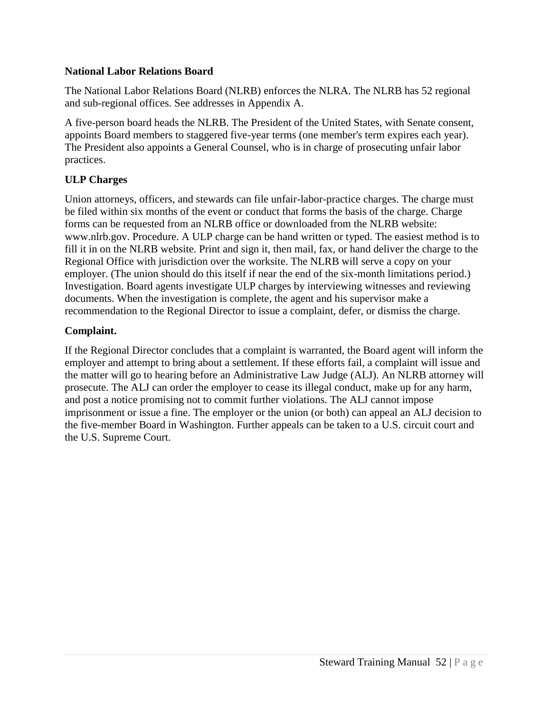## **National Labor Relations Board**

The National Labor Relations Board (NLRB) enforces the NLRA. The NLRB has 52 regional and sub-regional offices. See addresses in Appendix A.

A five-person board heads the NLRB. The President of the United States, with Senate consent, appoints Board members to staggered five-year terms (one member's term expires each year). The President also appoints a General Counsel, who is in charge of prosecuting unfair labor practices.

# **ULP Charges**

Union attorneys, officers, and stewards can file unfair-labor-practice charges. The charge must be filed within six months of the event or conduct that forms the basis of the charge. Charge forms can be requested from an NLRB office or downloaded from the NLRB website: www.nlrb.gov. Procedure. A ULP charge can be hand written or typed. The easiest method is to fill it in on the NLRB website. Print and sign it, then mail, fax, or hand deliver the charge to the Regional Office with jurisdiction over the worksite. The NLRB will serve a copy on your employer. (The union should do this itself if near the end of the six-month limitations period.) Investigation. Board agents investigate ULP charges by interviewing witnesses and reviewing documents. When the investigation is complete, the agent and his supervisor make a recommendation to the Regional Director to issue a complaint, defer, or dismiss the charge.

# **Complaint.**

If the Regional Director concludes that a complaint is warranted, the Board agent will inform the employer and attempt to bring about a settlement. If these efforts fail, a complaint will issue and the matter will go to hearing before an Administrative Law Judge (ALJ). An NLRB attorney will prosecute. The ALJ can order the employer to cease its illegal conduct, make up for any harm, and post a notice promising not to commit further violations. The ALJ cannot impose imprisonment or issue a fine. The employer or the union (or both) can appeal an ALJ decision to the five-member Board in Washington. Further appeals can be taken to a U.S. circuit court and the U.S. Supreme Court.